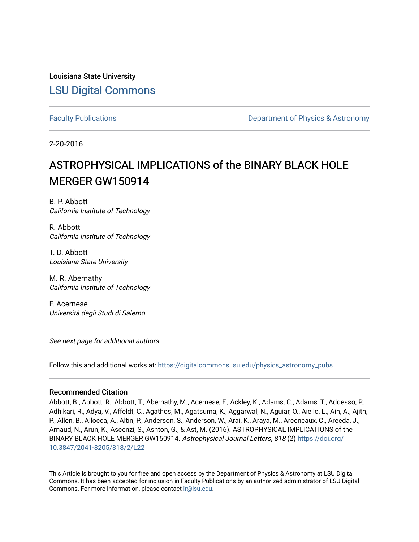Louisiana State University [LSU Digital Commons](https://digitalcommons.lsu.edu/)

[Faculty Publications](https://digitalcommons.lsu.edu/physics_astronomy_pubs) **Example 2** Constant Department of Physics & Astronomy

2-20-2016

# ASTROPHYSICAL IMPLICATIONS of the BINARY BLACK HOLE MERGER GW150914

B. P. Abbott California Institute of Technology

R. Abbott California Institute of Technology

T. D. Abbott Louisiana State University

M. R. Abernathy California Institute of Technology

F. Acernese Università degli Studi di Salerno

See next page for additional authors

Follow this and additional works at: [https://digitalcommons.lsu.edu/physics\\_astronomy\\_pubs](https://digitalcommons.lsu.edu/physics_astronomy_pubs?utm_source=digitalcommons.lsu.edu%2Fphysics_astronomy_pubs%2F1097&utm_medium=PDF&utm_campaign=PDFCoverPages) 

# Recommended Citation

Abbott, B., Abbott, R., Abbott, T., Abernathy, M., Acernese, F., Ackley, K., Adams, C., Adams, T., Addesso, P., Adhikari, R., Adya, V., Affeldt, C., Agathos, M., Agatsuma, K., Aggarwal, N., Aguiar, O., Aiello, L., Ain, A., Ajith, P., Allen, B., Allocca, A., Altin, P., Anderson, S., Anderson, W., Arai, K., Araya, M., Arceneaux, C., Areeda, J., Arnaud, N., Arun, K., Ascenzi, S., Ashton, G., & Ast, M. (2016). ASTROPHYSICAL IMPLICATIONS of the BINARY BLACK HOLE MERGER GW150914. Astrophysical Journal Letters, 818 (2) [https://doi.org/](https://doi.org/10.3847/2041-8205/818/2/L22) [10.3847/2041-8205/818/2/L22](https://doi.org/10.3847/2041-8205/818/2/L22) 

This Article is brought to you for free and open access by the Department of Physics & Astronomy at LSU Digital Commons. It has been accepted for inclusion in Faculty Publications by an authorized administrator of LSU Digital Commons. For more information, please contact [ir@lsu.edu](mailto:ir@lsu.edu).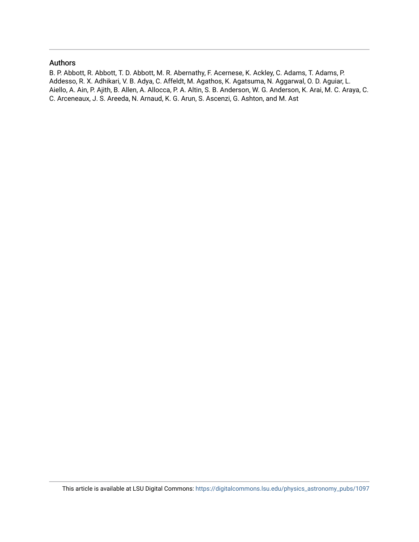# Authors

B. P. Abbott, R. Abbott, T. D. Abbott, M. R. Abernathy, F. Acernese, K. Ackley, C. Adams, T. Adams, P. Addesso, R. X. Adhikari, V. B. Adya, C. Affeldt, M. Agathos, K. Agatsuma, N. Aggarwal, O. D. Aguiar, L. Aiello, A. Ain, P. Ajith, B. Allen, A. Allocca, P. A. Altin, S. B. Anderson, W. G. Anderson, K. Arai, M. C. Araya, C. C. Arceneaux, J. S. Areeda, N. Arnaud, K. G. Arun, S. Ascenzi, G. Ashton, and M. Ast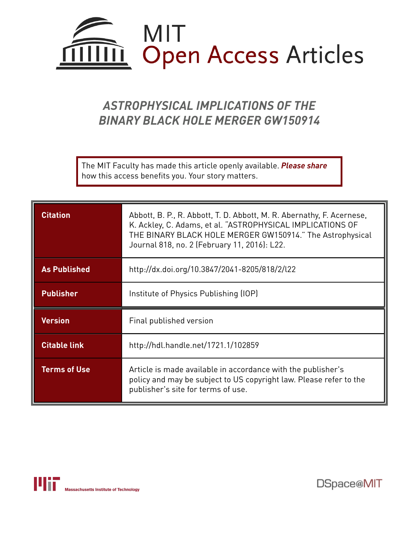

# *ASTROPHYSICAL IMPLICATIONS OF THE BINARY BLACK HOLE MERGER GW150914*

The MIT Faculty has made this article openly available. *[Please](https://libraries.mit.edu/forms/dspace-oa-articles.html) share* how this access benefits you. Your story matters.

| <b>Citation</b>     | Abbott, B. P., R. Abbott, T. D. Abbott, M. R. Abernathy, F. Acernese,<br>K. Ackley, C. Adams, et al. "ASTROPHYSICAL IMPLICATIONS OF<br>THE BINARY BLACK HOLE MERGER GW150914." The Astrophysical<br>Journal 818, no. 2 (February 11, 2016): L22. |
|---------------------|--------------------------------------------------------------------------------------------------------------------------------------------------------------------------------------------------------------------------------------------------|
| <b>As Published</b> | http://dx.doi.org/10.3847/2041-8205/818/2/l22                                                                                                                                                                                                    |
| <b>Publisher</b>    | Institute of Physics Publishing (IOP)                                                                                                                                                                                                            |
| <b>Version</b>      | Final published version                                                                                                                                                                                                                          |
| <b>Citable link</b> | http://hdl.handle.net/1721.1/102859                                                                                                                                                                                                              |
| <b>Terms of Use</b> | Article is made available in accordance with the publisher's<br>policy and may be subject to US copyright law. Please refer to the<br>publisher's site for terms of use.                                                                         |



DSpace@MIT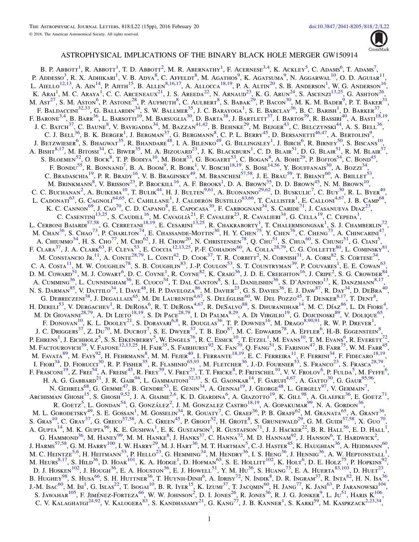

# ASTROPHYSICAL IMPLICATIONS OF THE BINARY BLACK HOLE MERGER GW150914

B. P. Abbott<sup>[1](#page-5-0)</sup>, R. Abbott<sup>1</sup>, T. D. Abbott<sup>[2](#page-5-1)</sup>, M. R. Abernathy<sup>1</sup>, F. Acernese<sup>[3](#page-5-2)[,4](#page-5-3)</sup>, K. Ackley<sup>[5](#page-5-4)</sup>, C. Adams<sup>[6](#page-5-5)</sup>, T. Adams<sup>[7](#page-5-6)</sup>, P. Addesso<sup>[3](#page-5-2)</sup>, R. X. Adhikari<sup>[1](#page-5-0)</sup>, V. B. Adya<sup>[8](#page-5-7)</sup>, C. Affeldt<sup>8</sup>, M. Agathos<sup>[9](#page-5-8)</sup>, K. Agatsuma<sup>9</sup>, N. Aggarwal<sup>[10](#page-5-9)</sup>, O. D. Aguiar<sup>[11](#page-5-10)</sup>, L. AIELLO<sup>[12](#page-5-11)[,13](#page-5-12)</sup>, A. Ain<sup>[14](#page-5-13)</sup>, P. Ajith<sup>[15](#page-5-14)</sup>, B. Allen<sup>[8](#page-5-7)[,16](#page-5-15)[,17](#page-5-16)</sup>, A. Allocca<sup>[18](#page-5-17)[,19](#page-5-18)</sup>, P. A. Altin<sup>[20](#page-5-19)</sup>, S. B. Anderson<sup>[1](#page-5-0)</sup>, W. G. Anderson<sup>[16](#page-5-15)</sup>, K. Arai<sup>[1](#page-5-0)</sup>, M. C. Araya<sup>1</sup>, C. C. Arceneaux<sup>[21](#page-5-20)</sup>, J. S. Areeda<sup>[22](#page-5-21)</sup>, N. Arnaud<sup>[23](#page-5-22)</sup>, K. G. Arun<sup>[24](#page-5-23)</sup>, S. Ascenzi<sup>[13](#page-5-12)[,25](#page-5-24)</sup>, G. Ashton<sup>[26](#page-5-25)</sup>, M. Ast<sup>[27](#page-5-26)</sup>, S. M. Aston<sup>[6](#page-5-5)</sup>, P. Astone<sup>[28](#page-5-27)</sup>, P. Aufmuth<sup>[8](#page-5-7)</sup>, C. Aulbert<sup>8</sup>, S. Babak<sup>[29](#page-5-28)</sup>, P. Bacon<sup>[30](#page-5-29)</sup>, M. K. M. Bader<sup>[9](#page-5-8)</sup>, P. T. Baker<sup>[31](#page-5-30)</sup>, F. BALDACCINI<sup>[32](#page-5-31)[,33](#page-5-32)</sup>, G. BALLARDIN<sup>[34](#page-5-33)</sup>, S. W. BALLMER<sup>[35](#page-5-34)</sup>, J. C. BARAYOGA<sup>[1](#page-5-0)</sup>, S. E. BARCLAY<sup>[36](#page-5-35)</sup>, B. C. BARISH<sup>1</sup>, D. BARKER<sup>[37](#page-5-36)</sup>, F. Barone<sup>[3](#page-5-2)[,4](#page-5-3)</sup>, B. Barr<sup>[36](#page-5-35)</sup>, L. Barsotti<sup>[10](#page-5-9)</sup>, M. Barsuglia<sup>[30](#page-5-29)</sup>, D. Barta<sup>[38](#page-5-37)</sup>, J. Bartlett<sup>[37](#page-5-36)</sup>, I. Bartos<sup>[39](#page-5-38)</sup>, R. Bassiri<sup>[40](#page-5-39)</sup>, A. Basti<sup>[18](#page-5-17)[,19](#page-5-18)</sup>, J. C. Batch<sup>[37](#page-5-36)</sup>, C. Baune<sup>[8](#page-5-7)</sup>, V. Bavigadda<sup>[34](#page-5-33)</sup>, M. Bazzan<sup>[41](#page-5-40)[,42](#page-5-41)</sup>, B. Behnke<sup>[29](#page-5-28)</sup>, M. Bejger<sup>[43](#page-5-42)</sup>, C. Belczynski<sup>[44](#page-5-43)</sup>, A. S. Bell<sup>[36](#page-5-35)</sup>, C. J. Bell<sup>[36](#page-5-35)</sup>, B. K. Berger<sup>[1](#page-5-0)</sup>, J. Bergman<sup>[37](#page-5-36)</sup>, G. Bergmann<sup>[8](#page-5-7)</sup>, C. P. L. Berry<sup>[45](#page-5-44)</sup>, D. Bersanetti<sup>[46](#page-5-45)[,47](#page-5-46)</sup>, A. Bertolini<sup>[9](#page-5-8)</sup>, J. Betzwieser<sup>[6](#page-5-5)</sup>, S. Bhagwat<sup>[35](#page-5-34)</sup>, R. Bhandare<sup>[48](#page-5-47)</sup>, I. A. Bilenko<sup>[49](#page-5-48)</sup>, G. Billingsley<sup>[1](#page-5-0)</sup>, J. Birch<sup>6</sup>, R. Birney<sup>[50](#page-5-49)</sup>, S. Biscans<sup>[10](#page-5-9)</sup>, A. Bisht<sup>[8](#page-5-7)[,17](#page-5-16)</sup>, M. Bitossi<sup>[34](#page-5-33)</sup>, C. Biwer<sup>[35](#page-5-34)</sup>, M. A. Bizouard<sup>[23](#page-5-22)</sup>, J. K. Blackburn<sup>[1](#page-5-0)</sup>, C. D. Blair<sup>[51](#page-5-50)</sup>, D. G. Blair<sup>51</sup>, R. M. Blair<sup>[37](#page-5-36)</sup>, S. Bloemen<sup>[52](#page-5-51)</sup>, O. Bock<sup>[8](#page-5-7)</sup>, T. P. Bodiya<sup>[10](#page-5-9)</sup>, M. Boer<sup>[53](#page-5-52)</sup>, G. Bogaert<sup>53</sup>, C. Bogan<sup>8</sup>, A. Bohe<sup>[29](#page-5-28)</sup>, P. Bojtos<sup>[54](#page-5-53)</sup>, C. Bond<sup>[45](#page-5-44)</sup>, F. Bondu<sup>[55](#page-6-0)</sup>, R. Bonnand<sup>[7](#page-5-6)</sup>, B. A. Boom<sup>[9](#page-5-8)</sup>, R. Bork<sup>[1](#page-5-0)</sup>, V. Boschi<sup>[18](#page-5-17)[,19](#page-5-18)</sup>, S. Bose<sup>[14](#page-5-13)[,56](#page-6-1)</sup>, Y. Bouffanais<sup>[30](#page-5-29)</sup>, A. Bozzi<sup>[34](#page-5-33)</sup>, C. BRADASCHIA<sup>[19](#page-5-18)</sup>, P. R. BRADY<sup>[16](#page-5-15)</sup>, V. B. BRAGINSKY<sup>[49](#page-5-48)</sup>, M. BRANCHESI<sup>[57](#page-6-2)[,58](#page-6-3)</sup>, J. E. BRAU<sup>[59](#page-6-4)</sup>, T. BRIANT<sup>[60](#page-6-5)</sup>, A. BRILLET<sup>[53](#page-5-52)</sup>, M. Brinkmann<sup>[8](#page-5-7)</sup>, V. Brisson<sup>[23](#page-5-22)</sup>, P. Brockill<sup>[16](#page-5-15)</sup>, A. F. Brooks<sup>[1](#page-5-0)</sup>, D. A. Brown<sup>[35](#page-5-34)</sup>, D. D. Brown<sup>[45](#page-5-44)</sup>, N. M. Brown<sup>[10](#page-5-9)</sup>, C. C. BUCHANAN<sup>[2](#page-5-1)</sup>, A. BUIKEMA<sup>[10](#page-5-9)</sup>, T. BULIK<sup>[44](#page-5-43)</sup>, H. J. BULTEN<sup>[9](#page-5-8)[,61](#page-6-6)</sup>, A. BUONANNO<sup>[29](#page-5-28)[,62](#page-6-7)</sup>, D. BUSKULIC<sup>[7](#page-5-6)</sup>, C. BUY<sup>[30](#page-5-29)</sup>, R. L. BYER<sup>[40](#page-5-39)</sup>, L. Cadonati<sup>[63](#page-6-8)</sup>, G. Cagnoli<sup>[64](#page-6-9)[,65](#page-6-10)</sup>, C. Cahillane<sup>[1](#page-5-0)</sup>, J. Calderón Bustillo<sup>63[,66](#page-6-11)</sup>, T. Callister<sup>1</sup>, E. Calloni<sup>[4](#page-5-3)[,67](#page-6-12)</sup>, J. B. Camp<sup>[68](#page-6-13)</sup>, K. C. Cannon<sup>[69](#page-6-14)</sup>, J. Cao<sup>[70](#page-6-15)</sup>, C. D. Capano<sup>[8](#page-5-7)</sup>, E. Capocasa<sup>[30](#page-5-29)</sup>, F. Carbognani<sup>[34](#page-5-33)</sup>, S. Caride<sup>[71](#page-6-16)</sup>, J. Casanueva Diaz<sup>[23](#page-5-22)</sup>, C. CASENTINI<sup>[13](#page-5-12)[,25](#page-5-24)</sup>, S. CAUDILL<sup>[16](#page-5-15)</sup>, M. CAVAGLIÀ<sup>[21](#page-5-20)</sup>, F. CAVALIER<sup>[23](#page-5-22)</sup>, R. CAVALIERI<sup>[34](#page-5-33)</sup>, G. CELLA<sup>[19](#page-5-18)</sup>, C. CEPEDA<sup>[1](#page-5-0)</sup>, L. Cerboni Baiardi<sup>[57](#page-6-2)[,58](#page-6-3)</sup>, G. Cerretani<sup>[18](#page-5-17)[,19](#page-5-18)</sup>, E. Cesarini<sup>[13](#page-5-12)[,25](#page-5-24)</sup>, R. Chakraborty<sup>[1](#page-5-0)</sup>, T. Chalermsongsak<sup>1</sup>, S. J. Chamberlin<sup>[72](#page-6-17)</sup>, M. CHAN<sup>[36](#page-5-35)</sup>, S. CHAO<sup>[73](#page-6-18)</sup>, P. CHARLTON<sup>[74](#page-6-19)</sup>, E. CHASSANDE-MOTTIN<sup>[30](#page-5-29)</sup>, H. Y. CHEN<sup>[75](#page-6-20)</sup>, Y. CHEN<sup>[76](#page-6-21)</sup>, C. CHENG<sup>73</sup>, A. CHINCARINI<sup>[47](#page-5-46)</sup>, A. Chiummo<sup>[34](#page-5-33)</sup>, H. S. Cho<sup>[77](#page-6-22)</sup>, M. Cho<sup>[62](#page-6-7)</sup>, J. H. Chow<sup>[20](#page-5-19)</sup>, N. Christensen<sup>[78](#page-6-23)</sup>, O. Chu<sup>[51](#page-5-50)</sup>, S. Chua<sup>[60](#page-6-5)</sup>, S. Chung<sup>[5](#page-5-4)1</sup>, G. Ciani<sup>5</sup>, F. CLARA<sup>[37](#page-5-36)</sup>, J. A. CLARK<sup>[63](#page-6-8)</sup>, F. CLEVA<sup>[53](#page-5-52)</sup>, E. COCCIA<sup>[12](#page-5-11)[,13](#page-5-12)[,25](#page-5-24)</sup>, P.-F. COHADON<sup>[60](#page-6-5)</sup>, A. COLLA<sup>[28](#page-5-27)[,79](#page-6-24)</sup>, C. G. COLLETTE<sup>[80](#page-6-25)</sup>, L. COMINSKY<sup>[81](#page-6-26)</sup>, M. CONSTANCIO JR.<sup>[11](#page-5-10)</sup>, A. CONTE<sup>[28](#page-5-27)[,79](#page-6-24)</sup>, L. CONTI<sup>[42](#page-5-41)</sup>, D. COOK<sup>[37](#page-5-36)</sup>, T. R. CORBITT<sup>[2](#page-5-1)</sup>, N. CORNISH<sup>[31](#page-5-30)</sup>, A. CORSI<sup>[82](#page-6-27)</sup>, S. CORTESE<sup>[34](#page-5-33)</sup>, C. A. Costa<sup>[11](#page-5-10)</sup>, M. W. Coughlin<sup>[78](#page-6-23)</sup>, S. B. Coughlin<sup>[83](#page-6-28)</sup>, J.-P. Coulon<sup>[53](#page-5-52)</sup>, S. T. Countryman<sup>[39](#page-5-38)</sup>, P. Couvares<sup>[1](#page-5-0)</sup>, E. E. Cowan<sup>[63](#page-6-8)</sup>, D. M. COWARD<sup>[51](#page-5-50)</sup>, M. J. COWART<sup>[6](#page-5-5)</sup>, D. C. COYNE<sup>[1](#page-5-0)</sup>, R. COYNE<sup>[82](#page-6-27)</sup>, K. Craig<sup>[36](#page-5-35)</sup>, J. D. E. Creighton<sup>[16](#page-5-15)</sup>, J. Cripe<sup>[2](#page-5-1)</sup>, S. G. Crowder<sup>[84](#page-6-29)</sup>, A. Cumming<sup>[36](#page-5-35)</sup>, L. Cunningham<sup>36</sup>, E. Cuoco<sup>[34](#page-5-33)</sup>, T. Dal Canton<sup>[8](#page-5-7)</sup>, S. L. Danilishin<sup>36</sup>, S. D'Antonio<sup>[13](#page-5-12)</sup>, K. Danzmann<sup>8[,17](#page-5-16)</sup>, N. S. Darman<sup>[85](#page-6-30)</sup>, V. Dattilo<sup>[34](#page-5-33)</sup>, I. Dave<sup>[48](#page-5-47)</sup>, H. P. Daveloza<sup>[86](#page-6-31)</sup>, M. Davier<sup>[23](#page-5-22)</sup>, G. S. Davies<sup>[36](#page-5-35)</sup>, E. J. Daw<sup>[87](#page-6-32)</sup>, R. Day<sup>34</sup>, D. DeBra<sup>[40](#page-5-39)</sup>, G. Debreczeni<sup>[38](#page-5-37)</sup>, J. Degallaix<sup>[65](#page-6-10)</sup>, M. De Laurentis<sup>[4](#page-5-3)[,67](#page-6-12)</sup>, S. Deléglise<sup>[60](#page-6-5)</sup>, W. Del Pozzo<sup>[45](#page-5-44)</sup>, T. Denker<sup>[8](#page-5-7)[,17](#page-5-16)</sup>, T. Dent<sup>8</sup>, H. Dereli<sup>[53](#page-5-52)</sup>, V. Dergachev<sup>[1](#page-5-0)</sup>, R. DeRosa<sup>[6](#page-5-5)</sup>, R. T. DeRosa<sup>[4](#page-5-3)[,67](#page-6-12)</sup>, R. DeSalvo<sup>[88](#page-6-33)</sup>, S. Dhurandhar<sup>[14](#page-5-13)</sup>, M. C. Díaz<sup>[86](#page-6-31)</sup>, L. Di Fiore<sup>4</sup>, M. Di Giovanni<sup>[28](#page-5-27)[,79](#page-6-24)</sup>, A. Di Lieto<sup>[18](#page-5-17)[,19](#page-5-18)</sup>, S. Di Pace<sup>2[8](#page-5-7),79</sup>, I. Di Palma<sup>8[,29](#page-5-28)</sup>, A. Di Virgilio<sup>[19](#page-5-18)</sup>, G. Dojcinoski<sup>[89](#page-6-34)</sup>, V. Dolique<sup>[65](#page-6-10)</sup>, F. Donovan<sup>[10](#page-5-9)</sup>, K. L. Dooley<sup>[21](#page-5-20)</sup>, S. Doravari<sup>[6](#page-5-5)[,8](#page-5-7)</sup>, R. Douglas<sup>[36](#page-5-35)</sup>, T. P. Downes<sup>[16](#page-5-15)</sup>, M. Drago<sup>[8](#page-5-7)[,90](#page-6-35)[,91](#page-6-36)</sup>, R. W. P. Drever<sup>[1](#page-5-0)</sup>, J. C. Driggers<sup>[37](#page-5-36)</sup>, Z. Du<sup>[70](#page-6-15)</sup>, M. Ducrot<sup>[7](#page-5-6)</sup>, S. E. Dwyer<sup>37</sup>, T. B. Edo<sup>[87](#page-6-32)</sup>, M. C. Edwards<sup>[78](#page-6-23)</sup>, A. Effler<sup>[6](#page-5-5)</sup>, H.-B. Eggenstein<sup>[8](#page-5-7)</sup>, P. Ehrens<sup>[1](#page-5-0)</sup>, J. Eichholz<sup>[5](#page-5-4)</sup>, S. S. Eikenberry<sup>5</sup>, W. Engels<sup>[76](#page-6-21)</sup>, R. C. Essick<sup>[10](#page-5-9)</sup>, T. Etzel<sup>1</sup>, M. Evans<sup>10</sup>, T. M. Evans<sup>[6](#page-5-5)</sup>, R. Everett<sup>[72](#page-6-17)</sup>, M. Factourovich<sup>[39](#page-5-38)</sup>, V. Fafone<sup>[12](#page-5-11)[,13](#page-5-12)[,25](#page-5-24)</sup>, H. Fair<sup>[35](#page-5-34)</sup>, S. Fairhurst<sup>[92](#page-6-37)</sup>, X. Fan<sup>[70](#page-6-15)</sup>, O. Fang<sup>[51](#page-5-50)</sup>, S. Farinon<sup>[47](#page-5-46)</sup>, B. Farr<sup>[75](#page-6-20)</sup>, W. M. Farr<sup>[45](#page-5-44)</sup>, M. Favata $^{89}$  $^{89}$  $^{89}$ , M. Fays $^{92}$  $^{92}$  $^{92}$ , H. Fehrmann $^8$  $^8$ , M. M. Fejer $^{40}$  $^{40}$  $^{40}$ , I. Ferrante $^{18,19}$  $^{18,19}$  $^{18,19}$  $^{18,19}$ , E. C. Ferreira $^{11}$  $^{11}$  $^{11}$ , F. Ferrini $^{34}$  $^{34}$  $^{34}$ , F. Fidecaro $^{18,19}$ , I. FIORI<sup>[34](#page-5-33)</sup>, D. FIORUCCI<sup>[30](#page-5-29)</sup>, R. P. FISHER<sup>[35](#page-5-34)</sup>, R. Flaminio<sup>[65](#page-6-10)[,93](#page-6-38)</sup>, M. Fletcher<sup>[36](#page-5-35)</sup>, J.-D. Fournier<sup>[53](#page-5-52)</sup>, S. Franco<sup>[23](#page-5-22)</sup>, S. Frasca<sup>[28](#page-5-27)[,79](#page-6-24)</sup>, F. Frasconi<sup>[19](#page-5-18)</sup>, Z. Frei<sup>[54](#page-5-53)</sup>, A. Freise<sup>[45](#page-5-44)</sup>, R. Frey<sup>[59](#page-6-4)</sup>, V. Frey<sup>[23](#page-5-22)</sup>, T. T. Fricke<sup>[8](#page-5-7)</sup>, P. Fritschel<sup>[10](#page-5-9)</sup>, V. V. Frolov<sup>[6](#page-5-5)</sup>, P. Fulda<sup>[5](#page-5-4)</sup>, M. Fyffe<sup>6</sup>, H. A. G. GABBARD<sup>[21](#page-5-20)</sup>, J. R. GAIR<sup>[94](#page-6-39)</sup>, L. GAMMAITONI<sup>[32](#page-5-31)[,33](#page-5-32)</sup>, S. G. GAONKAR<sup>[14](#page-5-13)</sup>, F. GARUFI<sup>[4](#page-5-3)[,67](#page-6-12)</sup>, A. GATTO<sup>[30](#page-5-29)</sup>, G. GAUR<sup>[95](#page-6-40)[,96](#page-6-41)</sup>, N. Gehrels<sup>[68](#page-6-13)</sup>, G. Gemme<sup>[47](#page-5-46)</sup>, B. Gendre<sup>[53](#page-5-52)</sup>, E. Genin<sup>[34](#page-5-33)</sup>, A. Gennai<sup>[19](#page-5-18)</sup>, J. George<sup>[48](#page-5-47)</sup>, L. Gergely<sup>[97](#page-6-42)</sup>, V. Germain<sup>[7](#page-5-6)</sup>, Archisman Ghosh<sup>[15](#page-5-14)</sup>, S. Ghosh<sup>[9](#page-5-8)[,52](#page-5-51)</sup>, J. A. Giaime<sup>[2](#page-5-1)[,6](#page-5-5)</sup>, K. D. Giardina<sup>[6](#page-5-5)</sup>, A. Giazotto<sup>[19](#page-5-18)</sup>, K. Gill<sup>[98](#page-6-43)</sup>, A. Glaefke<sup>[36](#page-5-35)</sup>, E. Goetz<sup>[71](#page-6-16)</sup>, R. GOETZ<sup>[5](#page-5-4)</sup>, L. GONDAN<sup>[54](#page-5-53)</sup>, G. GONZÁLEZ<sup>[2](#page-5-1)</sup>, J. M. GONZALEZ CASTRO<sup>[18](#page-5-17)[,19](#page-5-18)</sup>, A. GOPAKUMAR<sup>[99](#page-6-44)</sup>, N. A. GORDON<sup>[36](#page-5-35)</sup>, M. L. GORODETSKY<sup>[49](#page-5-48)</sup>, S. E. GOSSAN<sup>[1](#page-5-0)</sup>, M. GOSSELIN<sup>[34](#page-5-33)</sup>, R. GOUATY<sup>[7](#page-5-6)</sup>, C. Graef<sup>[36](#page-5-35)</sup>, P. B. Graff<sup>[62](#page-6-7)</sup>, M. Granata<sup>[65](#page-6-10)</sup>, A. Grant<sup>36</sup>, S. Gras<sup>[10](#page-5-9)</sup>, C. Gray<sup>[37](#page-5-36)</sup>, G. Greco<sup>[57](#page-6-2)[,58](#page-6-3)</sup>, A. C. Green<sup>[45](#page-5-44)</sup>, P. Groot<sup>[52](#page-5-51)</sup>, H. Grote<sup>[8](#page-5-7)</sup>, S. Grunewald<sup>[29](#page-5-28)</sup>, G. M. Guidi<sup>57,58</sup>, X. Guo<sup>[70](#page-6-15)</sup>, A. GUPTA<sup>[14](#page-5-13)</sup>, M. K. GUPTA<sup>[96](#page-6-41)</sup>, K. E. GUSHWA<sup>[1](#page-5-0)</sup>, E. K. GUSTAFSON<sup>1</sup>, R. GUSTAFSON<sup>[71](#page-6-16)</sup>, J. J. HACKER<sup>[22](#page-5-21)</sup>, B. R. HALL<sup>[56](#page-6-1)</sup>, E. D. HALL<sup>1</sup>, G. Hammond<sup>[36](#page-5-35)</sup>, M. Haney<sup>[99](#page-6-44)</sup>, M. M. Hanke<sup>[8](#page-5-7)</sup>, J. Hanks<sup>[37](#page-5-36)</sup>, C. Hanna<sup>[72](#page-6-17)</sup>, M. D. Hannam<sup>[92](#page-6-37)</sup>, J. Hanson<sup>[6](#page-5-5)</sup>, T. Hardwick<sup>[2](#page-5-1)</sup>, J. Harms<sup>[57](#page-6-2)[,58](#page-6-3)</sup>, G. M. Harry<sup>[100](#page-6-45)</sup>, I. W. Harry<sup>[29](#page-5-28)</sup>, M. J. Hart<sup>[36](#page-5-35)</sup>, M. T. Hartman<sup>[5](#page-5-4)</sup>, C.-J. Haster<sup>[45](#page-5-44)</sup>, K. Haughian<sup>36</sup>, A. Heidmann<sup>[60](#page-6-5)</sup>, M. C. Heintze<sup>[5](#page-5-4)[,6](#page-5-5)</sup>, H. Heitmann<sup>[53](#page-5-52)</sup>, P. Hello<sup>[23](#page-5-22)</sup>, G. Hemming<sup>[34](#page-5-33)</sup>, M. Hendry<sup>[36](#page-5-35)</sup>, I. S. Heng<sup>36</sup>, J. Hennig<sup>36</sup>, A. W. Heptonstall<sup>[1](#page-5-0)</sup>, M. HEURS<sup>[8](#page-5-7)[,17](#page-5-16)</sup>, S. HILD<sup>[36](#page-5-35)</sup>, D. HOAK<sup>[101](#page-6-46)</sup>, K. A. HODGE<sup>[1](#page-5-0)</sup>, D. HOFMAN<sup>[65](#page-6-10)</sup>, S. E. HOLLITT<sup>[102](#page-6-47)</sup>, K. HOLT<sup>[6](#page-5-5)</sup>, D. E. HOLZ<sup>[75](#page-6-20)</sup>, P. HOPKINS<sup>[92](#page-6-37)</sup>, D. J. Hosken<sup>[102](#page-6-47)</sup>, J. Hough<sup>[36](#page-5-35)</sup>, E. A. Houston<sup>36</sup>, E. J. Howell<sup>[51](#page-5-50)</sup>, Y. M. Hu<sup>36</sup>, S. Huang<sup>[73](#page-6-18)</sup>, E. A. Huerta<sup>[83](#page-6-28)[,103](#page-6-48)</sup>, D. Huet<sup>[23](#page-5-22)</sup>, B. Hughey<sup>[98](#page-6-43)</sup>, S. Husa<sup>[66](#page-6-11)</sup>, S. H. Huttner<sup>[36](#page-5-35)</sup>, T. Huynh-Dinh<sup>[6](#page-5-5)</sup>, A. Idrisy<sup>[72](#page-6-17)</sup>, N. Indik<sup>[8](#page-5-7)</sup>, D. R. Ingram<sup>[37](#page-5-36)</sup>, R. Inta<sup>[82](#page-6-27)</sup>, H. N. Isa<sup>36</sup>, J.-M. Isac<sup>[60](#page-6-5)</sup>, M. Isi<sup>[1](#page-5-0)</sup>, G. Islas<sup>[22](#page-5-21)</sup>, T. Isogai<sup>[10](#page-5-9)</sup>, B. R. Iyer<sup>[15](#page-5-14)</sup>, K. Izumi<sup>[37](#page-5-36)</sup>, T. Jacomin<sup>60</sup>, H. Jang<sup>[77](#page-6-22)</sup>, K. Jani<sup>[63](#page-6-8)</sup>, P. Jaranowski<sup>[104](#page-6-49)</sup>, S. Jawahar<sup>[105](#page-6-50)</sup>, F. Jiménez-Forteza<sup>[66](#page-6-11)</sup>, W. W. Johnson<sup>[2](#page-5-1)</sup>, D. I. Jones<sup>[26](#page-5-25)</sup>, R. Jones<sup>[36](#page-5-35)</sup>, R. J. G. Jonker<sup>[9](#page-5-8)</sup>, L. Ju<sup>[51](#page-5-50)</sup>, Haris K<sup>[106](#page-6-51)</sup>, C. V. Kalaghatgi<sup>[24](#page-5-23)[,92](#page-6-37)</sup>, V. Kalogera<sup>[83](#page-6-28)</sup>, S. Kandhasamy<sup>[21](#page-5-20)</sup>, G. Kang<sup>[77](#page-6-22)</sup>, J. B. Kanner<sup>[1](#page-5-0)</sup>, S. Karki<sup>[59](#page-6-4)</sup>, M. Kasprzack<sup>[2](#page-5-1)[,23](#page-5-22)[,34](#page-5-33)</sup>,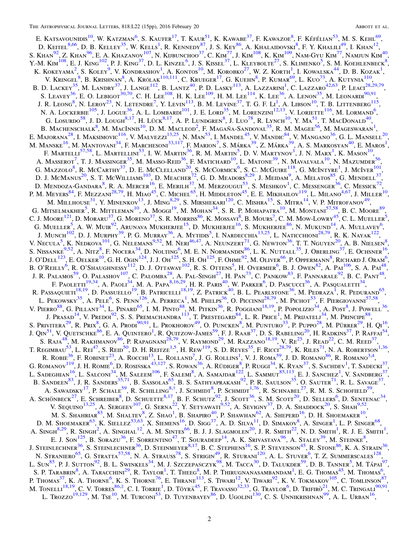E. Katsavounidis<sup>[10](#page-5-9)</sup>, W. Katzman<sup>[6](#page-5-5)</sup>, S. Kaufer<sup>[17](#page-5-16)</sup>, T. Kaur<sup>[51](#page-5-50)</sup>, K. Kawabe<sup>[37](#page-5-36)</sup>, F. Kawazoe<sup>[8](#page-5-7)</sup>, F. Kéfélian<sup>[53](#page-5-52)</sup>, M. S. Kehl<sup>[69](#page-6-14)</sup>, D. Keitel<sup>[8](#page-5-7)[,66](#page-6-11)</sup>, D. B. Kelley<sup>[35](#page-5-34)</sup>, W. Kells<sup>[1](#page-5-0)</sup>, R. Kennedy<sup>[87](#page-6-32)</sup>, J. S. Key<sup>[86](#page-6-31)</sup>, A. Khalaidovski<sup>8</sup>, F. Y. Khalili<sup>[49](#page-5-48)</sup>, I. Khan<sup>[12](#page-5-11)</sup>, S. Khan<sup>[92](#page-6-37)</sup>, Z. Khan<sup>[96](#page-6-41)</sup>, E. A. Khazanov<sup>[107](#page-6-52)</sup>, N. Kijbunchoo<sup>[37](#page-5-36)</sup>, C. Kim<sup>[77](#page-6-22)</sup>, J. Kim<sup>[108](#page-6-53)</sup>, K. Kim<sup>[109](#page-6-54)</sup>, Nam-Gyu Kim<sup>77</sup>, Namjun Kim<sup>[40](#page-5-39)</sup>, Y.-M. Kim<sup>[108](#page-6-53)</sup>, E. J. King<sup>[102](#page-6-47)</sup>, P. J. King<sup>[37](#page-5-36)</sup>, D. L. Kinzel<sup>[6](#page-5-5)</sup>, J. S. Kissel<sup>37</sup>, L. Kleybolte<sup>[27](#page-5-26)</sup>, S. Klimenko<sup>[5](#page-5-4)</sup>, S. M. Koehlenbeck<sup>[8](#page-5-7)</sup>, K. KOKEYAMA<sup>[2](#page-5-1)</sup>, S. KOLEY<sup>[9](#page-5-8)</sup>, V. KONDRASHOV<sup>[1](#page-5-0)</sup>, A. KONTOS<sup>[10](#page-5-9)</sup>, M. KOROBKO<sup>[27](#page-5-26)</sup>, W. Z. KORTH<sup>1</sup>, I. KOWALSKA<sup>[44](#page-5-43)</sup>, D. B. KOZAK<sup>1</sup>, V. Kringel<sup>[8](#page-5-7)</sup>, B. Krishnan<sup>8</sup>, A. Królak<sup>[110](#page-6-55)[,111](#page-6-56)</sup>, C. Krueger<sup>[17](#page-5-16)</sup>, G. Kuehn<sup>8</sup>, P. Kumar<sup>[69](#page-6-14)</sup>, L. Kuo<sup>[73](#page-6-18)</sup>, A. Kutynia<sup>110</sup>, B. D. Lackey<sup>[35](#page-5-34)</sup>, M. Landry<sup>[37](#page-5-36)</sup>, J. Lange<sup>[112](#page-6-57)</sup>, B. Lantz<sup>[40](#page-5-39)</sup>, P. D. Lasky<sup>[113](#page-6-58)</sup>, A. Lazzarini<sup>[1](#page-5-0)</sup>, C. Lazzaro<sup>[42](#page-5-41)[,63](#page-6-8)</sup>, P. Leaci<sup>[28](#page-5-27)[,29](#page-5-28)[,79](#page-6-24)</sup>, S. Leavey<sup>[36](#page-5-35)</sup>, E. O. Lebigot<sup>[30](#page-5-29)[,70](#page-6-15)</sup>, C. H. Lee<sup>[108](#page-6-53)</sup>, H. K. Lee<sup>[109](#page-6-54)</sup>, H. M. Lee<sup>[114](#page-6-59)</sup>, K. Lee<sup>36</sup>, A. Lenon<sup>[35](#page-5-34)</sup>, M. Leonardi<sup>[90](#page-6-35)[,91](#page-6-36)</sup>, J. R. Leong<sup>[8](#page-5-7)</sup>, N. Leroy<sup>[23](#page-5-22)</sup>, N. Letendre<sup>[7](#page-5-6)</sup>, Y. Levin<sup>[113](#page-6-58)</sup>, B. M. Levine<sup>[37](#page-5-36)</sup>, T. G. F. Li<sup>[1](#page-5-0)</sup>, A. Libson<sup>[10](#page-5-9)</sup>, T. B. Littenberg<sup>[115](#page-6-60)</sup>, N. A. Lockerbie<sup>[105](#page-6-50)</sup>, J. Logue<sup>[36](#page-5-35)</sup>, A. L. Lombardi<sup>[101](#page-6-46)</sup>, J. E. Lord<sup>[35](#page-5-34)</sup>, M. Lorenzini<sup>[12](#page-5-11)[,13](#page-5-12)</sup>, V. Loriette<sup>[116](#page-6-61)</sup>, M. Lormand<sup>[6](#page-5-5)</sup>, G. Losurdo<sup>[58](#page-6-3)</sup>, J. D. Lough<sup>[8](#page-5-7)[,17](#page-5-16)</sup>, H. Lück<sup>8,17</sup>, A. P. Lundgren<sup>8</sup>, J. Luo<sup>[78](#page-6-23)</sup>, R. Lynch<sup>[10](#page-5-9)</sup>, Y. Ma<sup>[51](#page-5-50)</sup>, T. MacDonald<sup>[40](#page-5-39)</sup>, B. Machenschalk<sup>[8](#page-5-7)</sup>, M. MacInnis<sup>[10](#page-5-9)</sup>, D. M. Macleod<sup>[2](#page-5-1)</sup>, F. Magaña-Sandoval<sup>[35](#page-5-34)</sup>, R. M. Magee<sup>[56](#page-6-1)</sup>, M. Mageswaran<sup>[1](#page-5-0)</sup>, E. Majorana<sup>[28](#page-5-27)</sup>, I. Maksimovic<sup>[116](#page-6-61)</sup>, V. Malvezzi<sup>[13](#page-5-12)[,25](#page-5-24)</sup>, N. Man<sup>[53](#page-5-52)</sup>, I. Mandel<sup>[45](#page-5-44)</sup>, V. Mandic<sup>[84](#page-6-29)</sup>, V. Mangano<sup>[36](#page-5-35)</sup>, G. L. Mansell<sup>[20](#page-5-19)</sup>, M. Manske<sup>[16](#page-5-15)</sup>, M. Mantovani<sup>[34](#page-5-33)</sup>, F. Marchesoni<sup>[33](#page-5-32)[,117](#page-6-62)</sup>, F. Marion<sup>[7](#page-5-6)</sup>, S. Márka<sup>[39](#page-5-38)</sup>, Z. Márka<sup>39</sup>, A. S. Markosyan<sup>[40](#page-5-39)</sup>, E. Maros<sup>[1](#page-5-0)</sup>, F. Martelli<sup>[57](#page-6-2)[,58](#page-6-3)</sup>, L. Martellini<sup>[53](#page-5-52)</sup>, I. W. Martin<sup>[36](#page-5-35)</sup>, R. M. Martin<sup>[5](#page-5-4)</sup>, D. V. Martynov<sup>[1](#page-5-0)</sup>, J. N. Marx<sup>1</sup>, K. Mason<sup>[10](#page-5-9)</sup>, A. Masserot<sup>[7](#page-5-6)</sup>, T. J. Massinger<sup>[35](#page-5-34)</sup>, M. Masso-Reid<sup>[36](#page-5-35)</sup>, F. Matichard<sup>[10](#page-5-9)</sup>, L. Matone<sup>[39](#page-5-38)</sup>, N. Mavalvala<sup>10</sup>, N. Mazumder<sup>[56](#page-6-1)</sup>, G. MAZZOLO<sup>[8](#page-5-7)</sup>, R. McCarthy<sup>[37](#page-5-36)</sup>, D. E. McClelland<sup>[20](#page-5-19)</sup>, S. McCormick<sup>[6](#page-5-5)</sup>, S. C. McGuire<sup>[118](#page-6-63)</sup>, G. McIntyre<sup>[1](#page-5-0)</sup>, J. McIver<sup>[101](#page-6-46)</sup>, D. J. McManus<sup>[20](#page-5-19)</sup>, S. T. McWilliams<sup>[103](#page-6-48)</sup>, D. Meacher<sup>[72](#page-6-17)</sup>, G. D. Meadors<sup>[8](#page-5-7)[,29](#page-5-28)</sup>, J. Meidam<sup>[9](#page-5-8)</sup>, A. Melatos<sup>[85](#page-6-30)</sup>, G. Mendell<sup>[37](#page-5-36)</sup>, D. Mendoza-Gandara<sup>[8](#page-5-7)</sup>, R. A. Mercer<sup>[16](#page-5-15)</sup>, E. Merilh<sup>[37](#page-5-36)</sup>, M. Merzougui<sup>[53](#page-5-52)</sup>, S. Meshkov<sup>[1](#page-5-0)</sup>, C. Messenger<sup>[36](#page-5-35)</sup>, C. Messick<sup>[72](#page-6-17)</sup>, P. M. Meyers<sup>[84](#page-6-29)</sup>, F. Mezzani<sup>[28](#page-5-27)[,79](#page-6-24)</sup>, H. Miao<sup>[45](#page-5-44)</sup>, C. Michel<sup>[65](#page-6-10)</sup>, H. Middleton<sup>45</sup>, E. E. Mikhailov<sup>[119](#page-6-64)</sup>, L. Milano<sup>[4](#page-5-3)[,67](#page-6-12)</sup>, J. Miller<sup>[10](#page-5-9)</sup>, M. Millhouse $^{31}$  $^{31}$  $^{31}$ , Y. Minenkov $^{13}$  $^{13}$  $^{13}$ , J. Ming $^{8,29}$  $^{8,29}$  $^{8,29}$  $^{8,29}$ , S. Mirshekari $^{120}$  $^{120}$  $^{120}$ , C. Mishra $^{15}$  $^{15}$  $^{15}$ , S. Mitra $^{14}$  $^{14}$  $^{14}$ , V. P. Mitrofanov $^{49}$  $^{49}$  $^{49}$ , G. Mitselmakher<sup>[5](#page-5-4)</sup>, R. Mittleman<sup>[10](#page-5-9)</sup>, A. Moggi<sup>[19](#page-5-18)</sup>, M. Mohan<sup>[34](#page-5-33)</sup>, S. R. P. Mohapatra<sup>10</sup>, M. Montani<sup>[57](#page-6-2)[,58](#page-6-3)</sup>, B. C. Moore<sup>[89](#page-6-34)</sup>, C. J. Moore<sup>[121](#page-6-66)</sup>, D. Moraru<sup>[37](#page-5-36)</sup>, G. Moreno<sup>37</sup>, S. R. Morriss<sup>[86](#page-6-31)</sup>, K. Mossavi<sup>[8](#page-5-7)</sup>, B. Mours<sup>[7](#page-5-6)</sup>, C. M. Mow-Lowry<sup>[45](#page-5-44)</sup>, C. L. Mueller<sup>[5](#page-5-4)</sup>, G. MUELLER<sup>[5](#page-5-4)</sup>, A. W. MUIR<sup>[92](#page-6-37)</sup>, ARUNAVA MUKHERJEE<sup>[15](#page-5-14)</sup>, D. MUKHERJEE<sup>[16](#page-5-15)</sup>, S. MUKHERJEE<sup>[86](#page-6-31)</sup>, N. MUKUND<sup>[14](#page-5-13)</sup>, A. MULLAVEY<sup>[6](#page-5-5)</sup>, J. Munch<sup>[102](#page-6-47)</sup>, D. J. Murphy<sup>[39](#page-5-38)</sup>, P. G. Murray<sup>[36](#page-5-35)</sup>, A. Mytidis<sup>[5](#page-5-4)</sup>, I. Nardecchia<sup>[13](#page-5-12)[,25](#page-5-24)</sup>, L. Naticchioni<sup>[28](#page-5-27)[,79](#page-6-24)</sup>, R. K. Nayak<sup>[122](#page-6-67)</sup>, V. Necula<sup>[5](#page-5-4)</sup>, K. Nedkova<sup>[101](#page-6-46)</sup>, G. Nelemans<sup>[9](#page-5-8)[,52](#page-5-51)</sup>, M. Neri<sup>[46](#page-5-45)[,47](#page-5-46)</sup>, A. Neunzert<sup>[71](#page-6-16)</sup>, G. Newton<sup>[36](#page-5-35)</sup>, T. T. Nguyen<sup>[20](#page-5-19)</sup>, A. B. Nielsen<sup>[8](#page-5-7)</sup>, S. Nissanke<sup>[9](#page-5-8)[,52](#page-5-51)</sup>, A. Nitz<sup>[8](#page-5-7)</sup>, F. Nocera<sup>[34](#page-5-33)</sup>, D. Nolting<sup>[6](#page-5-5)</sup>, M. E. N. Normandin<sup>[86](#page-6-31)</sup>, L. K. Nuttall<sup>[35](#page-5-34)</sup>, J. Oberling<sup>[37](#page-5-36)</sup>, E. Ochsner<sup>[16](#page-5-15)</sup>, J. O'Dell<sup>[123](#page-6-68)</sup>, E. Oelker<sup>[10](#page-5-9)</sup>, G. H. Ogin<sup>[124](#page-6-69)</sup>, J. J. Oh<sup>[125](#page-6-70)</sup>, S. H. Oh<sup>125</sup>, F. Ohme<sup>[92](#page-6-37)</sup>, M. Oliver<sup>[66](#page-6-11)</sup>, P. Oppermann<sup>[8](#page-5-7)</sup>, Richard J. Oram<sup>[6](#page-5-5)</sup>, B. O'Reilly<sup>[6](#page-5-5)</sup>, R. O'Shaughnessy<sup>[112](#page-6-57)</sup>, D. J. Ottaway<sup>[102](#page-6-47)</sup>, R. S. Ottens<sup>[5](#page-5-4)</sup>, H. Overmier<sup>6</sup>, B. J. Owen<sup>[82](#page-6-27)</sup>, A. Pai<sup>[106](#page-6-51)</sup>, S. A. Pai<sup>[48](#page-5-47)</sup>, J. R. Palamos<sup>[59](#page-6-4)</sup>, O. Palashov<sup>[107](#page-6-52)</sup>, C. Palomba<sup>[28](#page-5-27)</sup>, A. Pal-Singh<sup>[27](#page-5-26)</sup>, H. Pan<sup>[73](#page-6-18)</sup>, C. Pankow<sup>[83](#page-6-28)</sup>, F. Pannarale<sup>[92](#page-6-37)</sup>, B. C. Pant<sup>[48](#page-5-47)</sup>, F. PAOLETTI<sup>[19](#page-5-18)[,34](#page-5-33)</sup>, A. PAOLI<sup>[34](#page-5-33)</sup>, M. A. Papa<sup>[8](#page-5-7)[,16](#page-5-15)[,29](#page-5-28)</sup>, H. R. Paris<sup>[40](#page-5-39)</sup>, W. Parker<sup>[6](#page-5-5)</sup>, D. Pascucci<sup>[36](#page-5-35)</sup>, A. Pasoualetti<sup>34</sup>, R. Passaquieti<sup>[18](#page-5-17)[,19](#page-5-18)</sup>, D. Passuello<sup>[19](#page-5-18)</sup>, B. Patricelli<sup>18,19</sup>, Z. Patrick<sup>[40](#page-5-39)</sup>, B. L. Pearlstone<sup>[36](#page-5-35)</sup>, M. Pedraza<sup>[1](#page-5-0)</sup>, R. Pedurand<sup>[65](#page-6-10)</sup>, L. Pekowsky<sup>[35](#page-5-34)</sup>, A. Pele<sup>[6](#page-5-5)</sup>, S. Penn<sup>[126](#page-6-71)</sup>, A. Perreca<sup>[1](#page-5-0)</sup>, M. Phelps<sup>[36](#page-5-35)</sup>, O. Piccinni<sup>[28](#page-5-27)[,79](#page-6-24)</sup>, M. Pichot<sup>[53](#page-5-52)</sup>, F. Piergiovanni<sup>[57](#page-6-2)[,58](#page-6-3)</sup>, V. PIERRO<sup>[88](#page-6-33)</sup>, G. PILLANT<sup>[34](#page-5-33)</sup>, L. PINARD<sup>[65](#page-6-10)</sup>, I. M. PINTO<sup>88</sup>, M. PITKIN<sup>[36](#page-5-35)</sup>, R. POGGIANI<sup>[18](#page-5-17)[,19](#page-5-18)</sup>, P. POPOLIZIO<sup>34</sup>, A. POST<sup>[8](#page-5-7)</sup>, J. POWELL<sup>36</sup>, J. Prasad<sup>[14](#page-5-13)</sup>, V. Predoi<sup>[92](#page-6-37)</sup>, S. S. Premachandra<sup>[113](#page-6-58)</sup>, T. Prestegard<sup>[84](#page-6-29)</sup>, L. R. Price<sup>[1](#page-5-0)</sup>, M. Prijatelj<sup>[34](#page-5-33)</sup>, M. Principe<sup>[88](#page-6-33)</sup>, S. Privitera<sup>[29](#page-5-28)</sup>, R. Prix<sup>[8](#page-5-7)</sup>, G. A. Prodi<sup>[90](#page-6-35)[,91](#page-6-36)</sup>, L. Prokhorov<sup>[49](#page-5-48)</sup>, O. Puncken<sup>8</sup>, M. Punturo<sup>[33](#page-5-32)</sup>, P. Puppo<sup>[28](#page-5-27)</sup>, M. Pürrer<sup>29</sup>, H. Oi<sup>[16](#page-5-15)</sup>, J. Oin<sup>[51](#page-5-50)</sup>, V. Quetschke<sup>[86](#page-6-31)</sup>, E. A. Quintero<sup>[1](#page-5-0)</sup>, R. Quitzow-James<sup>[59](#page-6-4)</sup>, F. J. Raab<sup>[37](#page-5-36)</sup>, D. S. Rabeling<sup>[20](#page-5-19)</sup>, H. Radkins<sup>37</sup>, P. Raffai<sup>[54](#page-5-53)</sup>, S. Raja<sup>[48](#page-5-47)</sup>, M. Rakhmanov<sup>[86](#page-6-31)</sup>, P. Rapagnani<sup>[28](#page-5-27)[,79](#page-6-24)</sup>, V. Raymond<sup>[29](#page-5-28)</sup>, M. Razzano<sup>[18](#page-5-17)[,19](#page-5-18)</sup>, V. Re<sup>[25](#page-5-24)</sup>, J. Read<sup>[22](#page-5-21)</sup>, C. M. Reed<sup>[37](#page-5-36)</sup>, T. REGIMBAU<sup>[53](#page-5-52)</sup>, L. Rei<sup>[47](#page-5-46)</sup>, S. Reid<sup>[50](#page-5-49)</sup>, D. H. Reitze<sup>[1](#page-5-0)[,5](#page-5-4)</sup>, H. Rew<sup>[119](#page-6-64)</sup>, S. D. Reyes<sup>[35](#page-5-34)</sup>, F. Ricci<sup>[28](#page-5-27)[,79](#page-6-24)</sup>, K. Riles<sup>[71](#page-6-16)</sup>, N. A. Robertson<sup>1[,36](#page-5-35)</sup>, R. ROBIE<sup>[36](#page-5-35)</sup>, F. ROBINET<sup>[23](#page-5-22)</sup>, A. ROCCHI<sup>[13](#page-5-12)</sup>, L. ROLLAND<sup>[7](#page-5-6)</sup>, J. G. ROLLINS<sup>[1](#page-5-0)</sup>, V. J. ROMA<sup>[59](#page-6-4)</sup>, J. D. ROMANO<sup>[86](#page-6-31)</sup>, R. ROMANO<sup>[3](#page-5-2)[,4](#page-5-3)</sup>, G. ROMANOV<sup>[119](#page-6-64)</sup>, J. H. ROMIE<sup>[6](#page-5-5)</sup>, D. ROSIŃSKA<sup>[43](#page-5-42)[,127](#page-6-72)</sup>, S. ROWAN<sup>[36](#page-5-35)</sup>, A. RÜDIGER<sup>[8](#page-5-7)</sup>, P. RUGGI<sup>[34](#page-5-33)</sup>, K. RYAN<sup>[37](#page-5-36)</sup>, S. SACHDEV<sup>[1](#page-5-0)</sup>, T. SADECKI<sup>37</sup>, L. Sadeghian<sup>[16](#page-5-15)</sup>, L. Salconi<sup>[34](#page-5-33)</sup>, M. Saleem<sup>[106](#page-6-51)</sup>, F. Salemi<sup>[8](#page-5-7)</sup>, A. Samajdar<sup>[122](#page-6-67)</sup>, L. Sammut<sup>[85](#page-6-30)[,113](#page-6-58)</sup>, E. J. Sanchez<sup>[1](#page-5-0)</sup>, V. Sandberg<sup>[37](#page-5-36)</sup>, B. SANDEEN $^{83}$  $^{83}$  $^{83}$ , J. R. Sanders $^{35,71}$  $^{35,71}$  $^{35,71}$  $^{35,71}$ , B. Sassolas<sup>[65](#page-6-10)</sup>, B. S. Sathyaprakash<sup>[92](#page-6-37)</sup>, P. R. Saulson<sup>35</sup>, O. Sauter<sup>[71](#page-6-16)</sup>, R. L. Savage<sup>[37](#page-5-36)</sup>, A. SAWADSKY<sup>[17](#page-5-16)</sup>, P. SCHALE<sup>[59](#page-6-4)</sup>, R. SCHILLING<sup>[8,](#page-5-7)[†](#page-5-54)</sup>, J. SCHMIDT<sup>[8](#page-5-7)</sup>, P. SCHMIDT<sup>[1](#page-5-0)[,76](#page-6-21)</sup>, R. SCHNABEL<sup>[27](#page-5-26)</sup>, R. M. S. SCHOFIELD<sup>59</sup>, A. Schönbeck<sup>[27](#page-5-26)</sup>, E. Schreiber<sup>[8](#page-5-7)</sup>, D. Schuette<sup>8[,17](#page-5-16)</sup>, B. F. Schutz<sup>[92](#page-6-37)</sup>, J. Scott<sup>[36](#page-5-35)</sup>, S. M. Scott<sup>[20](#page-5-19)</sup>, D. Sellers<sup>[6](#page-5-5)</sup>, D. Sentenac<sup>[34](#page-5-33)</sup>, V. SEQUINO<sup>[13](#page-5-12)[,25](#page-5-24)</sup>, A. SERGEEV<sup>[107](#page-6-52)</sup>, G. SERNA<sup>[22](#page-5-21)</sup>, Y. SETYAWATI<sup>[9](#page-5-8)[,52](#page-5-51)</sup>, A. SEVIGNY<sup>[37](#page-5-36)</sup>, D. A. SHADDOCK<sup>[20](#page-5-19)</sup>, S. SHAH<sup>9,52</sup>, M. S. Shahriar $^{83}$  $^{83}$  $^{83}$ , M. Shaltev $^{8}$  $^{8}$  $^{8}$ , Z. Shao $^{1}$  $^{1}$  $^{1}$ , B. Shapiro $^{40}$  $^{40}$  $^{40}$ , P. Shawhan $^{62}$  $^{62}$  $^{62}$ , A. Sheperd $^{16}$  $^{16}$  $^{16}$ , D. H. Shoemaker $^{10}$  $^{10}$  $^{10}$ , D. M. Shoemaker<sup>[63](#page-6-8)</sup>, K. Siellez<sup>[53](#page-5-52)[,63](#page-6-8)</sup>, X. Siemens<sup>[16](#page-5-15)</sup>, D. Sigg<sup>[37](#page-5-36)</sup>, A. D. Silva<sup>[11](#page-5-10)</sup>, D. Simakov<sup>[8](#page-5-7)</sup>, A. Singer<sup>[1](#page-5-0)</sup>, L. P. Singer<sup>[68](#page-6-13)</sup>, A. Singh<sup>[8](#page-5-7)[,29](#page-5-28)</sup>, R. Singh<sup>[2](#page-5-1)</sup>, A. Singhal<sup>[12](#page-5-11)</sup>, A. M. Sintes<sup>[66](#page-6-11)</sup>, B. J. J. Slagmolen<sup>[20](#page-5-19)</sup>, J. R. Smith<sup>[22](#page-5-21)</sup>, N. D. Smith<sup>[1](#page-5-0)</sup>, R. J. E. Smith<sup>1</sup> E. J. Son<sup>[125](#page-6-70)</sup>, B. Sorazu<sup>[36](#page-5-35)</sup>, F. Sorrentino<sup>[47](#page-5-46)</sup>, T. Souradeep<sup>[14](#page-5-13)</sup>, A. K. Srivastava<sup>[96](#page-6-41)</sup>, A. Staley<sup>[39](#page-5-38)</sup>, M. Steinke<sup>[8](#page-5-7)</sup>, J. STEINLECHNER<sup>[36](#page-5-35)</sup>, S. STEINLECHNER<sup>36</sup>, D. STEINMEYER<sup>[8](#page-5-7)[,17](#page-5-16)</sup>, B. C. STEPHENS<sup>[16](#page-5-15)</sup>, S. P. STEVENSON<sup>[45](#page-5-44)</sup>, R. STONE<sup>[86](#page-6-31)</sup>, K. A. STRAIN<sup>36</sup>, N. Straniero<sup>[65](#page-6-10)</sup>, G. Stratta<sup>[57](#page-6-2)[,58](#page-6-3)</sup>, N. A. Strauss<sup>[78](#page-6-23)</sup>, S. Strigin<sup>[49](#page-5-48)</sup>, R. Sturani<sup>[120](#page-6-65)</sup>, A. L. Stuver<sup>[6](#page-5-5)</sup>, T. Z. Summerscales<sup>[128](#page-6-73)</sup>, L. Sun<sup>[85](#page-6-30)</sup>, P. J. Sutton<sup>[92](#page-6-37)</sup>, B. L. Swinkels<sup>[34](#page-5-33)</sup>, M. J. Szczepańczyk<sup>[98](#page-6-43)</sup>, M. Tacca<sup>[30](#page-5-29)</sup>, D. Talukder<sup>[59](#page-6-4)</sup>, D. B. Tanner<sup>[5](#page-5-4)</sup>, M. Tápai<sup>[97](#page-6-42)</sup>, S. P. Tarabrin<sup>[8](#page-5-7)</sup>, A. Taracchini<sup>[29](#page-5-28)</sup>, R. Taylor<sup>[1](#page-5-0)</sup>, T. Theeg<sup>8</sup>, M. P. Thirugnanasambandam<sup>1</sup>, E. G. Thomas<sup>[45](#page-5-44)</sup>, M. Thomas<sup>[6](#page-5-5)</sup>, P. Thomas<sup>[37](#page-5-36)</sup>, K. A. Thorne<sup>[6](#page-5-5)</sup>, K. S. Thorne<sup>[76](#page-6-21)</sup>, E. Thrane<sup>[113](#page-6-58)</sup>, S. Tiwari<sup>[12](#page-5-11)</sup>, V. Tiwari<sup>[92](#page-6-37)</sup>, K. V. Tokmakov<sup>[105](#page-6-50)</sup>, C. Tomlinson<sup>[87](#page-6-32)</sup>, M. Tonelli<sup>[18](#page-5-17)[,19](#page-5-18)</sup>, C. V. Torres<sup>[86](#page-6-31),[‡](#page-5-55)</sup>, C. I. Torrie<sup>[1](#page-5-0)</sup>, D. Töyrä<sup>[45](#page-5-44)</sup>, F. Travasso<sup>[32](#page-5-31)[,33](#page-5-32)</sup>, G. Traylor<sup>[6](#page-5-5)</sup>, D. Trifirò<sup>[21](#page-5-20)</sup>, M. C. Tringali<sup>[90](#page-6-35)[,91](#page-6-36)</sup>, L. Trozzo<sup>[19](#page-5-18)[,129](#page-6-74)</sup>, M. Tse<sup>[10](#page-5-9)</sup>, M. Turconi<sup>[53](#page-5-52)</sup>, D. Tuyenbayev<sup>[86](#page-6-31)</sup>, D. Ugolini<sup>[130](#page-6-75)</sup>, C. S. Unnikrishnan<sup>[99](#page-6-44)</sup>, A. L. Urban<sup>[16](#page-5-15)</sup>,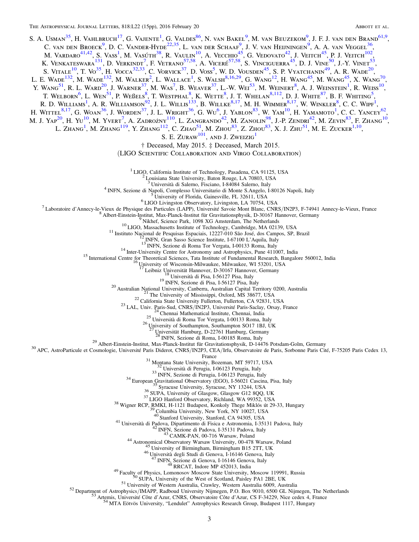S. A. Usman<sup>[35](#page-5-34)</sup>, H. Vahlbruch<sup>[17](#page-5-16)</sup>, G. Vajente<sup>[1](#page-5-0)</sup>, G. Valdes<sup>[86](#page-6-31)</sup>, N. van Bakel<sup>[9](#page-5-8)</sup>, M. van Beuzekom<sup>9</sup>, J. F. J. van den Brand<sup>[61](#page-6-6)[,9](#page-5-8)</sup> , C. van den Broeck<sup>[9](#page-5-8)</sup>, D. C. Vander-Hyde<sup>[22](#page-5-21)[,35](#page-5-34)</sup>, L. van der Schaaf<sup>9</sup>, J. V. van Heijningen<sup>9</sup>, A. A. van Veggel<sup>[36](#page-5-35)</sup>, M. VARDARO<sup>[41](#page-5-40)[,42](#page-5-41)</sup>, S. Vass<sup>[1](#page-5-0)</sup>, M. Vasúth<sup>[38](#page-5-37)</sup>, R. Vaulin<sup>[10](#page-5-9)</sup>, A. Vecchio<sup>[45](#page-5-44)</sup>, G. Vedovato<sup>[42](#page-5-41)</sup>, J. Veitch<sup>45</sup>, P. J. Veitch<sup>[102](#page-6-47)</sup>, K. Venkateswara<sup>[131](#page-7-0)</sup>, D. Verkindt<sup>[7](#page-5-6)</sup>, F. Vetrano<sup>[57](#page-6-2)[,58](#page-6-3)</sup>, A. Viceré<sup>57,58</sup>, S. Vinciguerra<sup>[45](#page-5-44)</sup>, D. J. Vine<sup>[50](#page-5-49)</sup>, J.-Y. Vinet<sup>[53](#page-5-52)</sup>, S. VITALE<sup>[10](#page-5-9)</sup>, T. Vo<sup>[35](#page-5-34)</sup>, H. Vocca<sup>[32](#page-5-31)[,33](#page-5-32)</sup>, C. Vorvick<sup>[37](#page-5-36)</sup>, D. Voss<sup>[5](#page-5-4)</sup>, W. D. Vousden<sup>[45](#page-5-44)</sup>, S. P. Vyatchanin<sup>[49](#page-5-48)</sup>, A. R. Wade<sup>[20](#page-5-19)</sup>, L. E. Wade<sup>[132](#page-7-1)</sup>, M. Wade<sup>13[2](#page-5-1)</sup>, M. Walker<sup>2</sup>, L. Wallace<sup>[1](#page-5-0)</sup>, S. Walsh<sup>[8](#page-5-7)[,16](#page-5-15)[,29](#page-5-28)</sup>, G. Wang<sup>[12](#page-5-11)</sup>, H. Wang<sup>[45](#page-5-44)</sup>, M. Wang<sup>45</sup>, X. Wang<sup>[70](#page-6-15)</sup>, Y. Wang<sup>[51](#page-5-50)</sup>, R. L. Ward<sup>[20](#page-5-19)</sup>, J. Warner<sup>[37](#page-5-36)</sup>, M. Was<sup>[7](#page-5-6)</sup>, B. Weaver<sup>37</sup>, L.-W. Wei<sup>[53](#page-5-52)</sup>, M. Weinert<sup>[8](#page-5-7)</sup>, A. J. Weinstein<sup>[1](#page-5-0)</sup>, R. Weiss<sup>[10](#page-5-9)</sup>, T. Welborn $^6$  $^6$ , L. Wen $^{51}$  $^{51}$  $^{51}$ , P. Weßels $^8$  $^8$ , T. Westphal $^8$ , K. Wette $^8$ , J. T. Whelan $^{8,112}$  $^{8,112}$  $^{8,112}$ , D. J. White $^{87}$  $^{87}$  $^{87}$ , B. F. Whiting $^5$  $^5$ , R. D. WILLIAMS<sup>[1](#page-5-0)</sup>, A. R. WILLIAMSON<sup>[92](#page-6-37)</sup>, J. L. WILLIS<sup>[133](#page-7-2)</sup>, B. WILLKE<sup>[8](#page-5-7)[,17](#page-5-16)</sup>, M. H. WIMMER<sup>8,17</sup>, W. WINKLER<sup>8</sup>, C. C. WIPF<sup>1</sup>, H. WITTEL<sup>[8](#page-5-7)[,17](#page-5-16)</sup>, G. WOAN<sup>[36](#page-5-35)</sup>, J. WORDEN<sup>[37](#page-5-36)</sup>, J. L. Wright<sup>3[6](#page-5-5)</sup>, G. Wu<sup>6</sup>, J. Yablon<sup>[83](#page-6-28)</sup>, W. Yam<sup>[10](#page-5-9)</sup>, H. Yamamoto<sup>[1](#page-5-0)</sup>, C. C. Yancey<sup>[62](#page-6-7)</sup>, M. J. Yap<sup>[20](#page-5-19)</sup>, H. Yu<sup>[10](#page-5-9)</sup>, M. Yvert<sup>[7](#page-5-6)</sup>, A. Zadrożny<sup>[110](#page-6-55)</sup>, L. Zangrando<sup>[42](#page-5-41)</sup>, M. Zanolin<sup>[98](#page-6-43)</sup>, J.-P. Zendri<sup>42</sup>, M. Zevin<sup>[83](#page-6-28)</sup>, F. Zhang<sup>10</sup>, L. Zhang<sup>[1](#page-5-0)</sup>, M. Zhang<sup>[119](#page-6-64)</sup>, Y. Zhang<sup>[112](#page-6-57)</sup>, C. Zhao<sup>[51](#page-5-50)</sup>, M. Zhou<sup>[83](#page-6-28)</sup>, Z. Zhou<sup>83</sup>, X. J. Zhu<sup>51</sup>, M. E. Zucker<sup>1[,10](#page-5-9)</sup>,

S. E. Zuraw $^{101}$  $^{101}$  $^{101}$ , and J. Zweizig<sup>[1](#page-5-0)</sup>

† Deceased, May 2015. ‡ Deceased, March 2015.

(LIGO Scientific Collaboration and Virgo Collaboration)

<sup>1</sup> LIGO, California Institute of Technology, Pasadena, CA 91125, USA <sup>2</sup> Louisiana State University, Baton Rouge, LA 70803, USA  $3$  Università di Salerno, Fisciano, I-84084 Salerno, Italy

<span id="page-5-55"></span><span id="page-5-54"></span><span id="page-5-12"></span><span id="page-5-11"></span><span id="page-5-10"></span><span id="page-5-9"></span><span id="page-5-8"></span><span id="page-5-7"></span><span id="page-5-6"></span><span id="page-5-5"></span><span id="page-5-4"></span><span id="page-5-3"></span><span id="page-5-2"></span><span id="page-5-1"></span><span id="page-5-0"></span><sup>4</sup> INFN, Sezione di Napoli, Complesso Universitario di Monte S.Angelo, I-80126 Napoli, Italy<br><sup>5</sup> University of Florida, Gainesville, FL 32611, USA<br><sup>7</sup> Laboratoire d'Annecy-le-Vieux de Physique des Particules (LAPP), Univ

<span id="page-5-18"></span><span id="page-5-17"></span><span id="page-5-16"></span><span id="page-5-15"></span><span id="page-5-14"></span><span id="page-5-13"></span>

<sup>18</sup> Università di Pisa, I-56127 Pisa, Italy<br><sup>19</sup> INFN, Sezione di Pisa, I-56127 Pisa, Italy<br><sup>20</sup> Australian National University, Canberra, Australian Capital Territory 0200, Australia<br><sup>21</sup> The University of Mississippi, O

Universität Hamburg, D-22761 Hamburg, Germany <sup>28</sup> INFN, Sezione di Roma, I-00185 Roma, Italy

<span id="page-5-32"></span><span id="page-5-31"></span><span id="page-5-30"></span><span id="page-5-29"></span><span id="page-5-28"></span><span id="page-5-27"></span><span id="page-5-26"></span><span id="page-5-25"></span><span id="page-5-24"></span><span id="page-5-23"></span><span id="page-5-22"></span><span id="page-5-21"></span><span id="page-5-20"></span><span id="page-5-19"></span><sup>29</sup> Albert-Einstein-Institut, Max-Planck-Institut für Gravitationsphysik, D-14476 Potsdam-Golm, Germany<br><sup>30</sup> APC, AstroParticule et Cosmologie, Université Paris Diderot, CNRS/IN2P3, CEA/Irfu, Observatoire de Paris, Sorbon

<sup>41</sup> Università di Padova, Dipartimento di Fisica e Astronomia, I-35131 Padova, Italy<br><sup>42</sup> INFN, Sezione di Padova, I-35131 Padova, Italy<br><sup>43</sup> CAMK-PAN, 00-716 Warsaw, Poland<br><sup>44</sup> Astronomical Observatory Warsaw Universit

<span id="page-5-53"></span><span id="page-5-52"></span><span id="page-5-51"></span><span id="page-5-50"></span><span id="page-5-49"></span><span id="page-5-48"></span><span id="page-5-47"></span><span id="page-5-46"></span><span id="page-5-45"></span><span id="page-5-44"></span><span id="page-5-43"></span><span id="page-5-42"></span><span id="page-5-41"></span><span id="page-5-40"></span><sup>49</sup> Faculty of Physics, Lomonosov Moscow State University, Moscow 119991, Russia<br><sup>50</sup> SUPA, University of the West of Scotland, Paisley PA1 2BE, UK<br><sup>51</sup> University of Western Australia, Crawley, Western Australia 6009, A

<span id="page-5-39"></span><span id="page-5-38"></span><span id="page-5-37"></span><span id="page-5-36"></span><span id="page-5-35"></span><span id="page-5-34"></span><span id="page-5-33"></span><sup>31</sup> Montana State University, Bozeman, MT 59717, USA<br><sup>32</sup> Università di Perugia, I-06123 Perugia, Italy<br><sup>33</sup> INFN, Sezione di Perugia, I-06123 Perugia, Italy<br><sup>34</sup> European Gravitational Observatory (EGO), I-56021 Cascina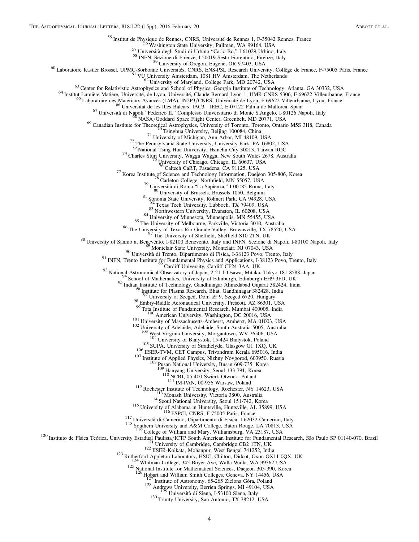<span id="page-6-2"></span><span id="page-6-1"></span><span id="page-6-0"></span><sup>55</sup> Institut de Physique de Rennes, CNRS, Université de Rennes 1, F-35042 Rennes, France<br>
<sup>57</sup> Università degli Studi di Urbino "Carlo Bo," 1-61029 Urbino, Italy<br>
<sup>57</sup> Università degli Studi di Urbino "Carlo Bo," 1-61029

<span id="page-6-7"></span><span id="page-6-6"></span><span id="page-6-5"></span><span id="page-6-4"></span><span id="page-6-3"></span>

<span id="page-6-10"></span><span id="page-6-9"></span><span id="page-6-8"></span>

<span id="page-6-14"></span><span id="page-6-13"></span><span id="page-6-12"></span><span id="page-6-11"></span>

<span id="page-6-19"></span><span id="page-6-18"></span><span id="page-6-17"></span><span id="page-6-16"></span><span id="page-6-15"></span>

74 Charles Sturt University, Wagga Wagga, New South Wales 2678, Australia 75<br>University of Chicago, Chicago, IL 60637, USA<br><sup>76</sup> Caltech CaRT, Pasadena, CA 91125, USA

<sup>77</sup> Korea Institute of Science and Technology Information, Daejeon 305-806, Korea<br>
<sup>78</sup> Carleton College, Northfield, MN 55057, USA<br>
<sup>79</sup> Università di Roma "La Sapienza," 1-00185 Roma, Italy<br>
<sup>81</sup> Sonoma State Universit

<span id="page-6-36"></span><span id="page-6-35"></span><span id="page-6-34"></span><span id="page-6-33"></span><span id="page-6-32"></span><span id="page-6-31"></span><span id="page-6-30"></span><span id="page-6-29"></span><span id="page-6-28"></span><span id="page-6-27"></span><span id="page-6-26"></span><span id="page-6-25"></span><span id="page-6-24"></span><span id="page-6-23"></span><span id="page-6-22"></span><span id="page-6-21"></span><span id="page-6-20"></span><sup>83</sup> Northwestern University, Evanston, IL 60208, USA<br>
<sup>84</sup> University of Minnesota, Minneapolis, MN 55455, USA<br>
<sup>85</sup> The University of Melbourne, Parkville, Victoria 3010, Australia<br>
<sup>86</sup> The University of Texas Rio Gran

<span id="page-6-39"></span><span id="page-6-38"></span><span id="page-6-37"></span>

<span id="page-6-49"></span><span id="page-6-48"></span><span id="page-6-47"></span><span id="page-6-46"></span><span id="page-6-45"></span><span id="page-6-44"></span><span id="page-6-43"></span><span id="page-6-42"></span><span id="page-6-41"></span><span id="page-6-40"></span>

<sup>98</sup> Embry-Riddle Aeronautical University, Prescott, AZ 86301, USA<br><sup>99</sup> Tata Institute of Fundamental Research, Mumbai 400005, India<br><sup>100</sup> American University, Washington, DC 20016, USA<br><sup>101</sup> University of Massachusetts-A

West Virginia University, Morgantown, WV 26506, USA 104 University of Białystok, 15-424 Białystok, Poland

 $^{105}$  SUPA, University of Strathclyde, Glasgow G1 1XQ, UK<br> $^{106}$  IISER-TVM, CET Campus, Trivandrum Kerala 695016, India<br> $^{107}$  Institute of Applied Physics, Nizhny Novgorod, 603950, Russia<br> $^{108}$  Institute Display Na

<sup>9</sup> Hanyang University, Seoul 133-791, Korea<sup>110</sup> NCBJ, 05-400 Świerk-Otwock, Poland<sup>111</sup> IM-PAN, 00-956 Warsaw, Poland

<sup>112</sup> Rochester Institute of Technology, Rochester, NY 14623, USA<br><sup>113</sup> Monash University, Victoria 3800, Australia<br><sup>114</sup> Seoul National University, Seoul 151-742, Korea<br><sup>115</sup> University of Alabama in Huntsville, Huntsvil

<span id="page-6-75"></span><span id="page-6-74"></span><span id="page-6-73"></span><span id="page-6-72"></span><span id="page-6-71"></span><span id="page-6-70"></span><span id="page-6-69"></span><span id="page-6-68"></span><span id="page-6-67"></span><span id="page-6-66"></span><span id="page-6-65"></span><span id="page-6-64"></span><span id="page-6-63"></span><span id="page-6-62"></span><span id="page-6-61"></span><span id="page-6-60"></span><span id="page-6-59"></span><span id="page-6-58"></span><span id="page-6-57"></span><span id="page-6-56"></span><span id="page-6-55"></span><span id="page-6-54"></span><span id="page-6-53"></span><span id="page-6-52"></span><span id="page-6-51"></span><span id="page-6-50"></span><sup>120</sup> Instituto de Física Teórica, University Estadual Paulista/ICTP South American Institute for Fundamental Research, São Paulo SP 01140-070, Brazil<br><sup>121</sup> University of Cambridge, Cambridge CB2 1TN, UK<br><sup>122</sup> IISER-Kolka

Hobart and William Smith Colleges, Geneva, NY 14456, USA<br>127 Institute of Astronomy, 65-265 Zielona Góra, Poland

128 Andrews University, Berrien Springs, MI 49104, USA<br> $^{129}$  Università di Siena, I-53100 Siena, Italy<br> $^{130}$  Trinity University, San Antonio, TX 78212, USA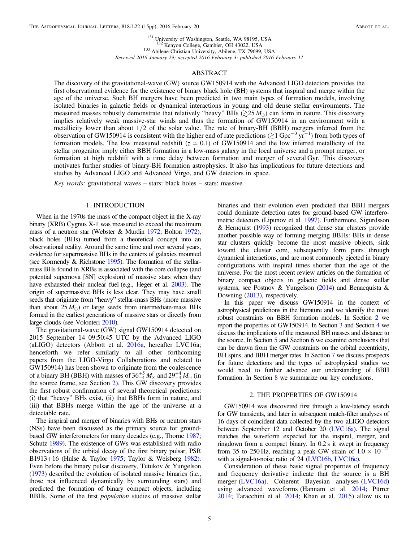$^{131}$  University of Washington, Seattle, WA 98195, USA  $^{132}$  Kenyon College, Gambier, OH 43022, USA <sup>133</sup> Abilene Christian University, Abilene, TX 79699, USA Received 2016 January 29; accepted 2016 February 3; published 2016 February 11

# ABSTRACT

<span id="page-7-2"></span><span id="page-7-1"></span><span id="page-7-0"></span>The discovery of the gravitational-wave (GW) source GW150914 with the Advanced LIGO detectors provides the first observational evidence for the existence of binary black hole (BH) systems that inspiral and merge within the age of the universe. Such BH mergers have been predicted in two main types of formation models, involving isolated binaries in galactic fields or dynamical interactions in young and old dense stellar environments. The measured masses robustly demonstrate that relatively "heavy" BHs ( $\gtrsim$ 25  $M_{\odot}$ ) can form in nature. This discovery implies relatively weak massive-star winds and thus the formation of GW150914 in an environment with a metallicity lower than about  $1/2$  of the solar value. The rate of binary-BH (BBH) mergers inferred from the observation of GW150914 is consistent with the higher end of rate predictions  $(\gtrsim 1$  Gpc<sup>-3</sup> yr<sup>-1</sup>) from both types of formation models. The low measured redshift ( $z \approx 0.1$ ) of GW150914 and the low inferred metallicity of the stellar progenitor imply either BBH formation in a low-mass galaxy in the local universe and a prompt merger, or formation at high redshift with a time delay between formation and merger of several Gyr. This discovery motivates further studies of binary-BH formation astrophysics. It also has implications for future detections and studies by Advanced LIGO and Advanced Virgo, and GW detectors in space.

Key words: gravitational waves  $-$  stars: black holes  $-$  stars: massive

## 1. INTRODUCTION

When in the 1970s the mass of the compact object in the X-ray binary (XRB) Cygnus X-1 was measured to exceed the maximum mass of a neutron star (Webster & Murdin [1972](#page-17-0); Bolton [1972](#page-16-0)), black holes (BHs) turned from a theoretical concept into an observational reality. Around the same time and over several years, evidence for supermassive BHs in the centers of galaxies mounted (see Kormendy & Richstone [1995](#page-16-1)). The formation of the stellarmass BHs found in XRBs is associated with the core collapse (and potential supernova [SN] explosion) of massive stars when they have exhausted their nuclear fuel (e.g., Heger et al. [2003](#page-16-2)). The origin of supermassive BHs is less clear. They may have small seeds that originate from "heavy" stellar-mass BHs (more massive than about  $25 M_{\odot}$ ) or large seeds from intermediate-mass BHs formed in the earliest generations of massive stars or directly from large clouds (see Volonteri [2010](#page-17-1)).

The gravitational-wave (GW) signal GW150914 detected on 2015 September 14 09:50:45 UTC by the Advanced LIGO (aLIGO) detectors (Abbott et al. [2016a,](#page-16-3) hereafter LVC16a; henceforth we refer similarly to all other forthcoming papers from the LIGO-Virgo Collaborations and related to GW150914) has been shown to originate from the coalescence of a binary BH (BBH) with masses of  $36^{+5}_{-4}$   $M_{\odot}$  and  $29^{+4}_{-4}$   $M_{\odot}$  (in the source frame, see Section [2](#page-7-3)). This GW discovery provides the first robust confirmation of several theoretical predictions: (i) that "heavy" BHs exist, (ii) that BBHs form in nature, and (iii) that BBHs merge within the age of the universe at a detectable rate.

The inspiral and merger of binaries with BHs or neutron stars (NSs) have been discussed as the primary source for groundbased GW interferometers for many decades (e.g., Thorne [1987](#page-17-2); Schutz [1989](#page-17-3)). The existence of GWs was established with radio observations of the orbital decay of the first binary pulsar, PSR B1913+16 (Hulse & Taylor [1975](#page-16-4); Taylor & Weisberg [1982](#page-17-4)). Even before the binary pulsar discovery, Tutukov & Yungelson ([1973](#page-17-5)) described the evolution of isolated massive binaries (i.e., those not influenced dynamically by surrounding stars) and predicted the formation of binary compact objects, including BBHs. Some of the first *population* studies of massive stellar binaries and their evolution even predicted that BBH mergers could dominate detection rates for ground-based GW interferometric detectors (Lipunov et al. [1997](#page-16-5)). Furthermore, Sigurdsson & Hernquist ([1993](#page-17-6)) recognized that dense star clusters provide another possible way of forming merging BBHs: BHs in dense star clusters quickly become the most massive objects, sink toward the cluster core, subsequently form pairs through dynamical interactions, and are most commonly ejected in binary configurations with inspiral times shorter than the age of the universe. For the most recent review articles on the formation of binary compact objects in galactic fields and dense stellar systems, see Postnov & Yungelson ([2014](#page-17-7)) and Benacquista & Downing ([2013](#page-16-6)), respectively.

In this paper we discuss GW150914 in the context of astrophysical predictions in the literature and we identify the most robust constraints on BBH formation models. In Section [2](#page-7-3) we report the properties of GW150914. In Section [3](#page-8-0) and Section [4](#page-11-0) we discuss the implications of the measured BH masses and distance to the source. In Section [5](#page-12-0) and Section [6](#page-13-0) we examine conclusions that can be drawn from the GW constraints on the orbital eccentricity, BH spins, and BBH merger rates. In Section [7](#page-13-1) we discuss prospects for future detections and the types of astrophysical studies we would need to further advance our understanding of BBH formation. In Section [8](#page-15-0) we summarize our key conclusions.

#### 2. THE PROPERTIES OF GW150914

<span id="page-7-3"></span>GW150914 was discovered first through a low-latency search for GW transients, and later in subsequent match-filter analyses of 16 days of coincident data collected by the two aLIGO detectors between September 12 and October 20 ([LVC16a](#page-16-7)). The signal matches the waveform expected for the inspiral, merger, and ringdown from a compact binary. In 0.2 s it swept in frequency from 35 to 250 Hz, reaching a peak GW strain of  $1.0 \times 10^{-21}$ with a signal-to-noise ratio of 24 ([LVC16b](#page-16-8), [LVC16c](#page-16-9)).

Consideration of these basic signal properties of frequency and frequency derivative indicate that the source is a BH merger ([LVC16a](#page-16-7)). Coherent Bayesian analyses ([LVC16d](#page-16-10)) using advanced waveforms (Hannam et al. [2014](#page-16-11); Pürrer [2014;](#page-17-8) Taracchini et al. [2014](#page-17-9); Khan et al. [2015](#page-16-12)) allow us to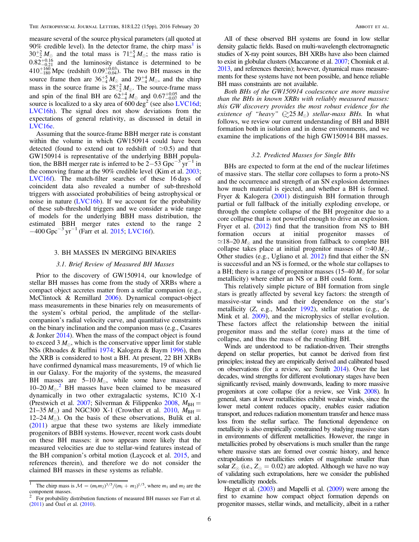measure several of the source physical parameters (all quoted at  $90\%$  credible level). In the detector frame, the chirp mass<sup>1</sup> is  $30^{+2}_{-2} M_{\odot}$  and the total mass is  $71^{+5}_{-4} M_{\odot}$ ; the mass ratio is  $0.82^{+0.16}_{-0.21}$  and the luminosity distance is determined to be  $410^{+160}_{-180}$  Mpc (redshift  $0.09^{+0.03}_{-0.04}$ ). The two BH masses in the source frame then are  $36^{+5}_{-4} M_{\odot}$  and  $29^{+4}_{-4} M_{\odot}$ , and the chirp mass in the source frame is  $28^{+2}_{-2} M_{\odot}$ . The source-frame mass and spin of the final BH are  $62^{+4}_{-4} M_{\odot}$  and  $0.67^{+0.05}_{-0.07}$  and the source is localized to a sky area of  $600 \text{ deg}^2$  (see also [LVC16d](#page-16-10); [LVC16h](#page-16-13)). The signal does not show deviations from the expectations of general relativity, as discussed in detail in [LVC16e](#page-16-14).

Assuming that the source-frame BBH merger rate is constant within the volume in which GW150914 could have been detected (found to extend out to redshift of  $\simeq 0.5$ ) and that GW150914 is representative of the underlying BBH population, the BBH merger rate is inferred to be  $2-53$  Gpc<sup>-3</sup> yr<sup>-1</sup> in the comoving frame at the 90% credible level (Kim et al. [2003](#page-16-15); [LVC16f](#page-16-16)). The match-filter searches of these 16 days of coincident data also revealed a number of sub-threshold triggers with associated probabilities of being astrophysical or noise in nature ([LVC16b](#page-16-8)). If we account for the probability of these sub-threshold triggers and we consider a wide range of models for the underlying BBH mass distribution, the estimated BBH merger rates extend to the range 2  $-400 \text{ Gpc}^{-3} \text{ yr}^{-1}$  (Farr et al. [2015](#page-16-17); [LVC16f](#page-16-16)).

### <span id="page-8-0"></span>3. BH MASSES IN MERGING BINARIES

# 3.1. Brief Review of Measured BH Masses

Prior to the discovery of GW150914, our knowledge of stellar BH masses has come from the study of XRBs where a compact object accretes matter from a stellar companion (e.g., McClintock & Remillard [2006](#page-16-18)). Dynamical compact-object mass measurements in these binaries rely on measurements of the system's orbital period, the amplitude of the stellarcompanion's radial velocity curve, and quantitative constraints on the binary inclination and the companion mass (e.g., Casares & Jonker [2014](#page-16-19)). When the mass of the compact object is found to exceed  $3 M_{\odot}$ , which is the conservative upper limit for stable NSs (Rhoades & Ruffini [1974](#page-17-10); Kalogera & Baym [1996](#page-16-20)), then the XRB is considered to host a BH. At present, 22 BH XRBs have confirmed dynamical mass measurements, 19 of which lie in our Galaxy. For the majority of the systems, the measured BH masses are  $5-10 M_{\odot}$ , while some have masses of 10–[2](#page-8-2)0  $M_{\odot}$ .<sup>2</sup> BH masses have been claimed to be measured dynamically in two other extragalactic systems, IC10 X-1 (Prestwich et al. [2007](#page-17-11); Silverman & Filippenko [2008](#page-17-12),  $M_{\text{BH}} =$ 21–35  $M_{\odot}$ ) and NGC300 X-1 (Crowther et al. [2010](#page-16-21),  $M_{\text{BH}} =$ 12–24  $M_{\odot}$ ). On the basis of these observations, Bulik et al. ([2011](#page-16-22)) argue that these two systems are likely immediate progenitors of BBH systems. However, recent work casts doubt on these BH masses: it now appears more likely that the measured velocities are due to stellar-wind features instead of the BH companion's orbital motion (Laycock et al. [2015,](#page-16-23) and references therein), and therefore we do not consider the claimed BH masses in these systems as reliable.

All of these observed BH systems are found in low stellar density galactic fields. Based on multi-wavelength electromagnetic studies of X-ray point sources, BH XRBs have also been claimed to exist in globular clusters (Maccarone et al. [2007;](#page-16-24) Chomiuk et al. [2013,](#page-16-25) and references therein); however, dynamical mass measurements for these systems have not been possible, and hence reliable BH mass constraints are not available.

Both BHs of the GW150914 coalescence are more massive than the BHs in known XRBs with reliably measured masses: this GW discovery provides the most robust evidence for the existence of "heavy"  $(\gtrsim 25 M_{\odot})$  stellar-mass BHs. In what follows, we review our current understanding of BH and BBH formation both in isolation and in dense environments, and we examine the implications of the high GW150914 BH masses.

#### 3.2. Predicted Masses for Single BHs

BHs are expected to form at the end of the nuclear lifetimes of massive stars. The stellar core collapses to form a proto-NS and the occurrence and strength of an SN explosion determines how much material is ejected, and whether a BH is formed. Fryer & Kalogera ([2001](#page-16-26)) distinguish BH formation through partial or full fallback of the initially exploding envelope, or through the complete collapse of the BH progenitor due to a core collapse that is not powerful enough to drive an explosion. Fryer et al. ([2012](#page-16-27)) find that the transition from NS to BH formation occurs at initial progenitor masses of  $\approx$ 18–20  $M_{\odot}$  and the transition from fallback to complete BH collapse takes place at initial progenitor masses of  $\simeq 40 M_{\odot}$ . Other studies (e.g., Ugliano et al. [2012](#page-17-13)) find that either the SN is successful and an NS is formed, or the whole star collapses to a BH; there is a range of progenitor masses  $(15-40 M_{\odot}$  for solar metallicity) where either an NS or a BH could form.

This relatively simple picture of BH formation from single stars is greatly affected by several key factors: the strength of massive-star winds and their dependence on the star's metallicity (Z, e.g., Maeder [1992](#page-16-28)), stellar rotation (e.g., de Mink et al. [2009](#page-16-29)), and the microphysics of stellar evolution. These factors affect the relationship between the initial progenitor mass and the stellar (core) mass at the time of collapse, and thus the mass of the resulting BH.

Winds are understood to be radiation-driven. Their strengths depend on stellar properties, but cannot be derived from first principles; instead they are empirically derived and calibrated based on observations (for a review, see Smith [2014](#page-17-14)). Over the last decades, wind strengths for different evolutionary stages have been significantly revised, mainly downwards, leading to more massive progenitors at core collapse (for a review, see Vink [2008](#page-17-15)). In general, stars at lower metallicities exhibit weaker winds, since the lower metal content reduces opacity, enables easier radiation transport, and reduces radiation momentum transfer and hence mass loss from the stellar surface. The functional dependence on metallicity is also empirically constrained by studying massive stars in environments of different metallicities. However, the range in metallicities probed by observations is much smaller than the range where massive stars are formed over cosmic history, and hence extrapolations to metallicities orders of magnitude smaller than solar  $Z_{\odot}$  (i.e.,  $Z_{\odot} = 0.02$ ) are adopted. Although we have no way of validating such extrapolations, here we consider the published low-metallicity models.

Heger et al. ([2003](#page-16-2)) and Mapelli et al. ([2009](#page-16-30)) were among the first to examine how compact object formation depends on progenitor masses, stellar winds, and metallicity, albeit in a rather

<span id="page-8-1"></span><sup>&</sup>lt;sup>1</sup> The chirp mass is  $M = (m_1 m_2)^{3/5} / (m_1 + m_2)^{1/5}$ , where  $m_1$  and  $m_2$  are the component masses.

<span id="page-8-2"></span><sup>2</sup> For probability distribution functions of measured BH masses see Farr et al. ([2011](#page-16-31)) and Özel et al. ([2010](#page-17-16)).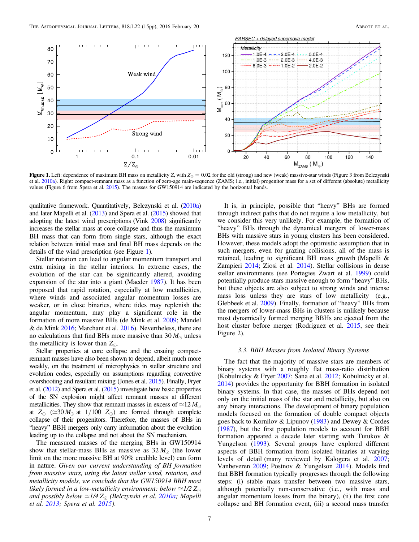<span id="page-9-0"></span>

Figure 1. Left: dependence of maximum BH mass on metallicity *Z*, with  $Z_{\odot} = 0.02$  for the old (strong) and new (weak) massive-star winds (Figure 3 from Belczynski et al. [2010a](#page-16-32)). Right: compact-remnant mass as a function of zero-age main-sequence (ZAMS; i.e., initial) progenitor mass for a set of different (absolute) metallicity values (Figure 6 from Spera et al. [2015](#page-17-17)). The masses for GW150914 are indicated by the horizontal bands.

qualitative framework. Quantitatively, Belczynski et al. ([2010a](#page-16-32)) and later Mapelli et al. ([2013](#page-16-33)) and Spera et al. ([2015](#page-17-17)) showed that adopting the latest wind prescriptions (Vink [2008](#page-17-15)) significantly increases the stellar mass at core collapse and thus the maximum BH mass that can form from single stars, although the exact relation between initial mass and final BH mass depends on the details of the wind prescription (see Figure [1](#page-9-0)).

Stellar rotation can lead to angular momentum transport and extra mixing in the stellar interiors. In extreme cases, the evolution of the star can be significantly altered, avoiding expansion of the star into a giant (Maeder [1987](#page-16-34)). It has been proposed that rapid rotation, especially at low metallicities, where winds and associated angular momentum losses are weaker, or in close binaries, where tides may replenish the angular momentum, may play a significant role in the formation of more massive BHs (de Mink et al. [2009](#page-16-29); Mandel & de Mink  $2016$ ; Marchant et al.  $2016$ ). Nevertheless, there are no calculations that find BHs more massive than  $30 M_{\odot}$  unless the metallicity is lower than  $Z_{\odot}$ .

Stellar properties at core collapse and the ensuing compactremnant masses have also been shown to depend, albeit much more weakly, on the treatment of microphysics in stellar structure and evolution codes, especially on assumptions regarding convective overshooting and resultant mixing (Jones et al. [2015](#page-16-37)). Finally, Fryer et al. ([2012](#page-16-27)) and Spera et al. ([2015](#page-17-17)) investigate how basic properties of the SN explosion might affect remnant masses at different metallicities. They show that remnant masses in excess of  $\simeq$ 12  $M_{\odot}$ at  $Z_{\odot}$  ( $\simeq$ 30  $M_{\odot}$  at 1/100  $Z_{\odot}$ ) are formed through complete collapse of their progenitors. Therefore, the masses of BHs in "heavy" BBH mergers only carry information about the evolution leading up to the collapse and not about the SN mechanism.

The measured masses of the merging BHs in GW150914 show that stellar-mass BHs as massive as  $32 M_{\odot}$  (the lower limit on the more massive BH at 90% credible level) can form in nature. Given our current understanding of BH formation from massive stars, using the latest stellar wind, rotation, and metallicity models, we conclude that the GW150914 BBH most likely formed in a low-metallicity environment: below  $\simeq$  1/2  $\rm Z_{\odot}$ and possibly below  $\simeq$  1/4  $Z_{\odot}$  (Belczynski et al. [2010a;](#page-16-32) Mapelli et al. [2013;](#page-16-33) Spera et al. [2015](#page-17-17)).

It is, in principle, possible that "heavy" BHs are formed through indirect paths that do not require a low metallicity, but we consider this very unlikely. For example, the formation of "heavy" BHs through the dynamical mergers of lower-mass BHs with massive stars in young clusters has been considered. However, these models adopt the optimistic assumption that in such mergers, even for grazing collisions, all of the mass is retained, leading to significant BH mass growth (Mapelli & Zampieri [2014;](#page-16-38) Ziosi et al. [2014](#page-17-18)). Stellar collisions in dense stellar environments (see Portegies Zwart et al. [1999](#page-17-19)) could potentially produce stars massive enough to form "heavy" BHs, but these objects are also subject to strong winds and intense mass loss unless they are stars of low metallicity (e.g., Glebbeek et al. [2009](#page-16-39)). Finally, formation of "heavy" BHs from the mergers of lower-mass BHs in clusters is unlikely because most dynamically formed merging BBHs are ejected from the host cluster before merger (Rodriguez et al. [2015,](#page-17-20) see their Figure 2).

## 3.3. BBH Masses from Isolated Binary Systems

<span id="page-9-1"></span>The fact that the majority of massive stars are members of binary systems with a roughly flat mass-ratio distribution (Kobulnicky & Fryer [2007](#page-16-40); Sana et al. [2012;](#page-17-21) Kobulnicky et al. [2014](#page-16-41)) provides the opportunity for BBH formation in isolated binary systems. In that case, the masses of BHs depend not only on the initial mass of the star and metallicity, but also on any binary interactions. The development of binary population models focused on the formation of double compact objects goes back to Kornilov & Lipunov ([1983](#page-16-42)) and Dewey & Cordes ([1987](#page-16-43)), but the first population models to account for BBH formation appeared a decade later starting with Tutukov & Yungelson ([1993](#page-17-22)). Several groups have explored different aspects of BBH formation from isolated binaries at varying levels of detail (many reviewed by Kalogera et al. [2007](#page-16-44); Vanbeveren [2009](#page-17-23); Postnov & Yungelson [2014](#page-17-7)). Models find that BBH formation typically progresses through the following steps: (i) stable mass transfer between two massive stars, although potentially non-conservative (i.e., with mass and angular momentum losses from the binary), (ii) the first core collapse and BH formation event, (iii) a second mass transfer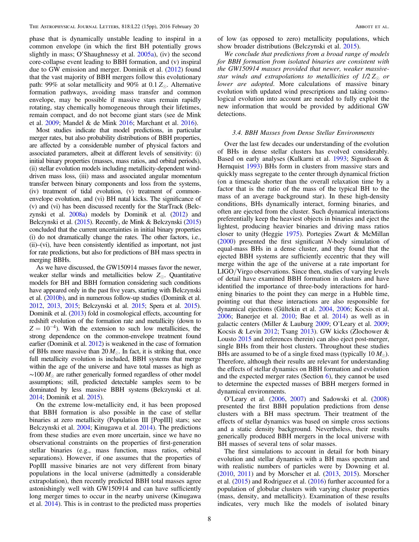phase that is dynamically unstable leading to inspiral in a common envelope (in which the first BH potentially grows slightly in mass; O'Shaughnessy et al. [2005a](#page-17-24)), (iv) the second core-collapse event leading to BBH formation, and (v) inspiral due to GW emission and merger. Dominik et al. ([2012](#page-16-45)) found that the vast majority of BBH mergers follow this evolutionary path: 99% at solar metallicity and 90% at  $0.1 Z_{\odot}$ . Alternative formation pathways, avoiding mass transfer and common envelope, may be possible if massive stars remain rapidly rotating, stay chemically homogeneous through their lifetimes, remain compact, and do not become giant stars (see de Mink et al. [2009](#page-16-29); Mandel & de Mink [2016](#page-16-35); Marchant et al. [2016](#page-16-36)).

Most studies indicate that model predictions, in particular merger rates, but also probability distributions of BBH properties, are affected by a considerable number of physical factors and associated parameters, albeit at different levels of sensitivity: (i) initial binary properties (masses, mass ratios, and orbital periods), (ii) stellar evolution models including metallicity-dependent winddriven mass loss, (iii) mass and associated angular momentum transfer between binary components and loss from the systems, (iv) treatment of tidal evolution, (v) treatment of commonenvelope evolution, and (vi) BH natal kicks. The significance of (v) and (vi) has been discussed recently for the StarTrack (Belczynski et al. [2008a](#page-16-46)) models by Dominik et al. ([2012](#page-16-45)) and Belczynski et al. ([2015](#page-16-47)). Recently, de Mink & Belczynski ([2015](#page-16-48)) concluded that the current uncertainties in initial binary properties (i) do not dramatically change the rates. The other factors, i.e., (ii)–(vi), have been consistently identified as important, not just for rate predictions, but also for predictions of BH mass spectra in merging BBHs.

As we have discussed, the GW150914 masses favor the newer, weaker stellar winds and metallicities below  $Z_{\odot}$ . Quantitative models for BH and BBH formation considering such conditions have appeared only in the past five years, starting with Belczynski et al. ([2010b](#page-16-49)), and in numerous follow-up studies (Dominik et al. [2012](#page-16-45), [2013](#page-16-50), [2015](#page-16-51); Belczynski et al. [2015;](#page-16-47) Spera et al. [2015](#page-17-17)). Dominik et al. ([2013](#page-16-50)) fold in cosmological effects, accounting for redshift evolution of the formation rate and metallicity (down to  $Z = 10^{-4}$ ). With the extension to such low metallicities, the strong dependence on the common-envelope treatment found earlier (Dominik et al. [2012](#page-16-45)) is weakened in the case of formation of BHs more massive than 20  $M_{\odot}$ . In fact, it is striking that, once full metallicity evolution is included, BBH systems that merge within the age of the universe and have total masses as high as  $\sim$ 100  $M_{\odot}$  are rather generically formed regardless of other model assumptions; still, predicted detectable samples seem to be dominated by less massive BBH systems (Belczynski et al. [2014](#page-16-52); Dominik et al. [2015](#page-16-51)).

On the extreme low-metallicity end, it has been proposed that BBH formation is also possible in the case of stellar binaries at zero metallicity (Population III [PopIII] stars; see Belczynski et al. [2004;](#page-16-53) Kinugawa et al. [2014](#page-16-54)). The predictions from these studies are even more uncertain, since we have no observational constraints on the properties of first-generation stellar binaries (e.g., mass function, mass ratios, orbital separations). However, if one assumes that the properties of PopIII massive binaries are not very different from binary populations in the local universe (admittedly a considerable extrapolation), then recently predicted BBH total masses agree astonishingly well with GW150914 and can have sufficiently long merger times to occur in the nearby universe (Kinugawa et al. [2014](#page-16-54)). This is in contrast to the predicted mass properties

of low (as opposed to zero) metallicity populations, which show broader distributions (Belczynski et al. [2015](#page-16-47)).

We conclude that predictions from a broad range of models for BBH formation from isolated binaries are consistent with the GW150914 masses provided that newer, weaker massivestar winds and extrapolations to metallicities of  $1/2 Z_{\odot}$  or lower are adopted. More calculations of massive binary evolution with updated wind prescriptions and taking cosmological evolution into account are needed to fully exploit the new information that would be provided by additional GW detections.

#### 3.4. BBH Masses from Dense Stellar Environments

Over the last few decades our understanding of the evolution of BHs in dense stellar clusters has evolved considerably. Based on early analyses (Kulkarni et al. [1993;](#page-16-55) Sigurdsson & Hernquist [1993](#page-17-6)) BHs form in clusters from massive stars and quickly mass segregate to the center through dynamical friction (on a timescale shorter than the overall relaxation time by a factor that is the ratio of the mass of the typical BH to the mass of an average background star). In these high-density conditions, BHs dynamically interact, forming binaries, and often are ejected from the cluster. Such dynamical interactions preferentially keep the heaviest objects in binaries and eject the lightest, producing heavier binaries and driving mass ratios closer to unity (Heggie [1975](#page-16-56)). Portegies Zwart & McMillan ([2000](#page-17-25)) presented the first significant N-body simulation of equal-mass BHs in a dense cluster, and they found that the ejected BBH systems are sufficiently eccentric that they will merge within the age of the universe at a rate important for LIGO/Virgo observations. Since then, studies of varying levels of detail have examined BBH formation in clusters and have identified the importance of three-body interactions for hardening binaries to the point they can merge in a Hubble time, pointing out that these interactions are also responsible for dynamical ejections (Gültekin et al. [2004,](#page-16-57) [2006;](#page-16-58) Kocsis et al. [2006;](#page-16-59) Banerjee et al. [2010](#page-16-60); Bae et al. [2014](#page-16-61)) as well as in galactic centers (Miller & Lauburg [2009;](#page-16-62) O'Leary et al. [2009](#page-17-26); Kocsis & Levin [2012](#page-16-63); Tsang [2013](#page-17-27)). GW kicks (Zlochower & Lousto [2015](#page-17-28) and references therein) can also eject post-merger, single BHs from their host clusters. Throughout these studies BHs are assumed to be of a single fixed mass (typically  $10 M_{\odot}$ ). Therefore, although their results are relevant for understanding the effects of stellar dynamics on BBH formation and evolution and the expected merger rates (Section  $6$ ), they cannot be used to determine the expected masses of BBH mergers formed in dynamical environments.

O'Leary et al. ([2006](#page-17-29), [2007](#page-17-30)) and Sadowski et al. ([2008](#page-17-31)) presented the first BBH population predictions from dense clusters with a BH mass spectrum. Their treatment of the effects of stellar dynamics was based on simple cross sections and a static density background. Nevertheless, their results generically produced BBH mergers in the local universe with BH masses of several tens of solar masses.

The first simulations to account in detail for both binary evolution and stellar dynamics with a BH mass spectrum and with realistic numbers of particles were by Downing et al. ([2010](#page-16-64), [2011](#page-16-65)) and by Morscher et al. ([2013](#page-16-66), [2015](#page-16-67)). Morscher et al. ([2015](#page-16-67)) and Rodriguez et al. ([2016](#page-17-32)) further accounted for a population of globular clusters with varying cluster properties (mass, density, and metallicity). Examination of these results indicates, very much like the models of isolated binary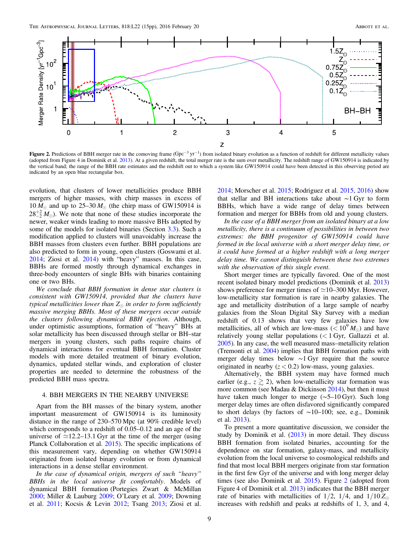<span id="page-11-1"></span>

**Figure 2.** Predictions of BBH merger rate in the comoving frame  $(Gpc^{-3} yr^{-1})$  from isolated binary evolution as a function of redshift for different metallicity values (adopted from Figure 4 in Dominik et al. [2013](#page-16-50)). At a given redshift, the total merger rate is the sum over metallicity. The redshift range of GW150914 is indicated by the vertical band; the range of the BBH rate estimates and the redshift out to which a system like GW150914 could have been detected in this observing period are indicated by an open blue rectangular box.

evolution, that clusters of lower metallicities produce BBH mergers of higher masses, with chirp masses in excess of  $10 M_{\odot}$  and up to 25–30  $M_{\odot}$  (the chirp mass of GW150914 is  $28^{+2}_{-2} M_{\odot}$ ). We note that none of these studies incorporate the newer, weaker winds leading to more massive BHs adopted by some of the models for isolated binaries (Section [3.3](#page-9-1)). Such a modification applied to clusters will unavoidably increase the BBH masses from clusters even further. BBH populations are also predicted to form in young, open clusters (Goswami et al. [2014;](#page-16-68) Ziosi et al. [2014](#page-17-18)) with "heavy" masses. In this case, BBHs are formed mostly through dynamical exchanges in three-body encounters of single BHs with binaries containing one or two BHs.

We conclude that BBH formation in dense star clusters is consistent with GW150914, provided that the clusters have typical metallicities lower than  $Z_{\odot}$  in order to form sufficiently massive merging BBHs. Most of these mergers occur outside the clusters following dynamical BBH ejection. Although, under optimistic assumptions, formation of "heavy" BHs at solar metallicity has been discussed through stellar or BH–star mergers in young clusters, such paths require chains of dynamical interactions for eventual BBH formation. Cluster models with more detailed treatment of binary evolution, dynamics, updated stellar winds, and exploration of cluster properties are needed to determine the robustness of the predicted BBH mass spectra.

#### <span id="page-11-0"></span>4. BBH MERGERS IN THE NEARBY UNIVERSE

Apart from the BH masses of the binary system, another important measurement of GW150914 is its luminosity distance in the range of 230–570 Mpc (at 90% credible level) which corresponds to a redshift of 0.05–0.12 and an age of the universe of  $\simeq$ 12.2–13.1 Gyr at the time of the merger (using Planck Collaboration et al. [2015](#page-17-33)). The specific implications of this measurement vary, depending on whether GW150914 originated from isolated binary evolution or from dynamical interactions in a dense stellar environment.

In the case of dynamical origin, mergers of such "heavy" BBHs in the local universe fit comfortably. Models of dynamical BBH formation (Portegies Zwart & McMillan [2000;](#page-17-25) Miller & Lauburg [2009;](#page-16-62) O'Leary et al. [2009;](#page-17-26) Downing et al. [2011](#page-16-65); Kocsis & Levin [2012;](#page-16-63) Tsang [2013](#page-17-27); Ziosi et al.

[2014;](#page-17-18) Morscher et al. [2015;](#page-16-67) Rodriguez et al. [2015,](#page-17-20) [2016](#page-17-32)) show that stellar and BH interactions take about ∼1 Gyr to form BBHs, which have a wide range of delay times between formation and merger for BBHs from old and young clusters.

In the case of a BBH merger from an isolated binary at a low metallicity, there is a continuum of possibilities in between two extremes: the BBH progenitor of GW150914 could have formed in the local universe with a short merger delay time, or it could have formed at a higher redshift with a long merger delay time. We cannot distinguish between these two extremes with the observation of this single event.

Short merger times are typically favored. One of the most recent isolated binary model predictions (Dominik et al. [2013](#page-16-50)) shows preference for merger times of  $\simeq$ 10–300 Myr. However, low-metallicity star formation is rare in nearby galaxies. The age and metallicity distribution of a large sample of nearby galaxies from the Sloan Digital Sky Survey with a median redshift of 0.13 shows that very few galaxies have low metallicities, all of which are low-mass ( $< 10^{9} M_{\odot}$ ) and have relatively young stellar populations  $\ll 1$  Gyr, Gallazzi et al. [2005](#page-16-69)). In any case, the well measured mass–metallicity relation (Tremonti et al. [2004](#page-17-34)) implies that BBH formation paths with merger delay times below ∼1 Gyr require that the source originated in nearby  $(z < 0.2)$  low-mass, young galaxies.

Alternatively, the BBH system may have formed much earlier (e.g.,  $z \ge 2$ ), when low-metallicity star formation was more common (see Madau & Dickinson [2014](#page-16-70)), but then it must have taken much longer to merge (∼5–10 Gyr). Such long merger delay times are often disfavored significantly compared to short delays (by factors of ∼10–100; see, e.g., Dominik et al. [2013](#page-16-50)).

To present a more quantitative discussion, we consider the study by Dominik et al. ([2013](#page-16-50)) in more detail. They discuss BBH formation from isolated binaries, accounting for the dependence on star formation, galaxy-mass, and metallicity evolution from the local universe to cosmological redshifts and find that most local BBH mergers originate from star formation in the first few Gyr of the universe and with long merger delay times (see also Dominik et al. [2015](#page-16-51)). Figure [2](#page-11-1) (adopted from Figure 4 of Dominik et al. [2013](#page-16-50)) indicates that the BBH merger rate of binaries with metallicities of  $1/2$ ,  $1/4$ , and  $1/10 Z_{\odot}$ increases with redshift and peaks at redshifts of 1, 3, and 4,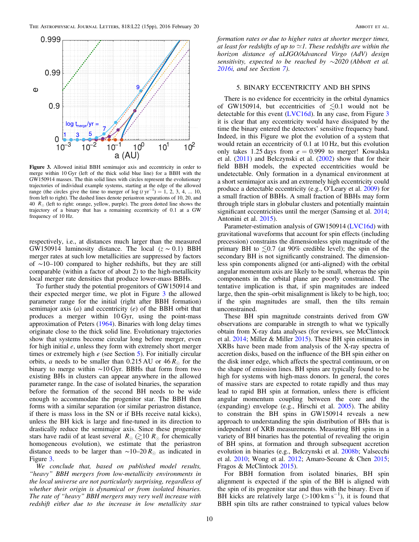<span id="page-12-1"></span>

Figure 3. Allowed initial BBH semimajor axis and eccentricity in order to merge within 10 Gyr (left of the thick solid blue line) for a BBH with the GW150914 masses. The thin solid lines with circles represent the evolutionary trajectories of individual example systems, starting at the edge of the allowed range (the circles give the time to merger of  $log (t yr^{-1}) = 1, 2, 3, 4, ... 10$ , from left to right). The dashed lines denote periastron separations of 10, 20, and 40  $R_{\odot}$  (left to right: orange, yellow, purple). The green dotted line shows the trajectory of a binary that has a remaining eccentricity of 0.1 at a GW frequency of 10 Hz.

respectively, i.e., at distances much larger than the measured GW150914 luminosity distance. The local  $(z \sim 0.1)$  BBH merger rates at such low metallicities are suppressed by factors of ∼10–100 compared to higher redshifts, but they are still comparable (within a factor of about 2) to the high-metallicity local merger rate densities that produce lower-mass BBHs.

To further study the potential progenitors of GW150914 and their expected merger time, we plot in Figure [3](#page-12-1) the allowed parameter range for the initial (right after BBH formation) semimajor axis  $(a)$  and eccentricity  $(e)$  of the BBH orbit that produces a merger within 10 Gyr, using the point-mass approximation of Peters ([1964](#page-17-35)). Binaries with long delay times originate close to the thick solid line. Evolutionary trajectories show that systems become circular long before merger, even for high initial e, unless they form with extremely short merger times or extremely high  $e$  (see Section  $5$ ). For initially circular orbits, *a* needs to be smaller than 0.215 AU or  $46 R_{\odot}$  for the binary to merge within ∼10 Gyr. BBHs that form from two existing BHs in clusters can appear anywhere in the allowed parameter range. In the case of isolated binaries, the separation before the formation of the second BH needs to be wide enough to accommodate the progenitor star. The BBH then forms with a similar separation (or similar periastron distance, if there is mass loss in the SN or if BHs receive natal kicks), unless the BH kick is large and fine-tuned in its direction to drastically reduce the semimajor axis. Since these progenitor stars have radii of at least several  $R_{\odot} \approx 10 R_{\odot}$  for chemically homogeneous evolution), we estimate that the periastron distance needs to be larger than ~10–20  $R_{\odot}$  as indicated in Figure [3.](#page-12-1)

We conclude that, based on published model results, "heavy" BBH mergers from low-metallicity environments in the local universe are not particularly surprising, regardless of whether their origin is dynamical or from isolated binaries. The rate of "heavy" BBH mergers may very well increase with redshift either due to the increase in low metallicity star

formation rates or due to higher rates at shorter merger times, at least for redshifts of up to  $\approx$ 1. These redshifts are within the horizon distance of aLIGO/Advanced Virgo (AdV) design sensitivity, expected to be reached by ∼2020 (Abbott et al. [2016i,](#page-16-7) and see Section [7](#page-13-1)).

# 5. BINARY ECCENTRICITY AND BH SPINS

<span id="page-12-0"></span>There is no evidence for eccentricity in the orbital dynamics of GW150914, but eccentricities of  $\leq 0.1$  would not be detectable for this event ([LVC16d](#page-16-10)). In any case, from Figure [3](#page-12-1) it is clear that any eccentricity would have dissipated by the time the binary entered the detectors' sensitive frequency band. Indeed, in this Figure we plot the evolution of a system that would retain an eccentricity of 0.1 at 10 Hz, but this evolution only takes 1.25 days from  $e = 0.999$  to merger! Kowalska et al. ([2011](#page-16-71)) and Belczynski et al. ([2002](#page-16-72)) show that for their field BBH models, the expected eccentricities would be undetectable. Only formation in a dynamical environment at a short semimajor axis and an extremely high eccentricity could produce a detectable eccentricity (e.g., O'Leary et al. [2009](#page-17-26)) for a small fraction of BBHs. A small fraction of BBHs may form through triple stars in globular clusters and potentially maintain significant eccentricities until the merger (Samsing et al. [2014](#page-17-36); Antonini et al. [2015](#page-16-73)).

Parameter-estimation analysis of GW150914 ([LVC16d](#page-16-10)) with gravitational waveforms that account for spin effects (including precession) constrains the dimensionless spin magnitude of the primary BH to  $\leq 0.7$  (at 90% credible level); the spin of the secondary BH is not significantly constrained. The dimensionless spin components aligned (or anti-aligned) with the orbital angular momentum axis are likely to be small, whereas the spin components in the orbital plane are poorly constrained. The tentative implication is that, if spin magnitudes are indeed large, then the spin–orbit misalignment is likely to be high, too; if the spin magnitudes are small, then the tilts remain unconstrained.

These BH spin magnitude constraints derived from GW observations are comparable in strength to what we typically obtain from X-ray data analyses (for reviews, see McClintock et al. [2014](#page-16-74); Miller & Miller [2015](#page-16-75)). These BH spin estimates in XRBs have been made from analysis of the X-ray spectra of accretion disks, based on the influence of the BH spin either on the disk inner edge, which affects the spectral continuum, or on the shape of emission lines. BH spins are typically found to be high for systems with high-mass donors. In general, the cores of massive stars are expected to rotate rapidly and thus may lead to rapid BH spin at formation, unless there is efficient angular momentum coupling between the core and the (expanding) envelope (e.g., Hirschi et al. [2005](#page-16-76)). The ability to constrain the BH spins in GW150914 reveals a new approach to understanding the spin distribution of BHs that is independent of XRB measurements. Measuring BH spins in a variety of BH binaries has the potential of revealing the origin of BH spins, at formation and through subsequent accretion evolution in binaries (e.g., Belczynski et al. [2008b;](#page-16-77) Valsecchi et al. [2010](#page-17-37); Wong et al. [2012;](#page-17-38) Amaro-Seoane & Chen [2015](#page-16-78); Fragos & McClintock [2015](#page-16-79)).

For BBH formation from isolated binaries, BH spin alignment is expected if the spin of the BH is aligned with the spin of its progenitor star and thus with the binary. Even if BH kicks are relatively large  $(>100 \text{ km s}^{-1})$ , it is found that BBH spin tilts are rather constrained to typical values below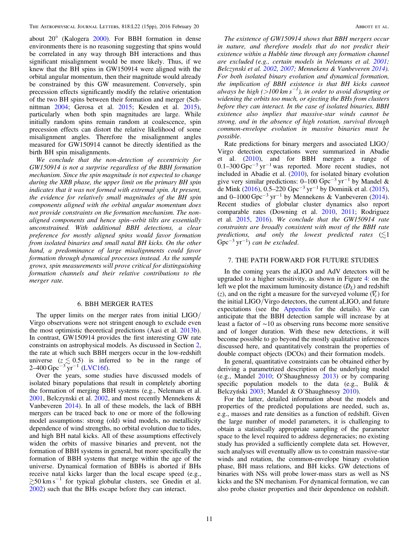about 20° (Kalogera [2000](#page-16-80)). For BBH formation in dense environments there is no reasoning suggesting that spins would be correlated in any way through BH interactions and thus significant misalignment would be more likely. Thus, if we knew that the BH spins in GW150914 were aligned with the orbital angular momentum, then their magnitude would already be constrained by this GW measurement. Conversely, spin precession effects significantly modify the relative orientation of the two BH spins between their formation and merger (Schnittman [2004;](#page-17-39) Gerosa et al. [2015](#page-16-81); Kesden et al. [2015](#page-16-82)), particularly when both spin magnitudes are large. While initially random spins remain random at coalescence, spin precession effects can distort the relative likelihood of some misalignment angles. Therefore the misalignment angles measured for GW150914 cannot be directly identified as the birth BH spin misalignments.

We conclude that the non-detection of eccentricity for GW150914 is not a surprise regardless of the BBH formation mechanism. Since the spin magnitude is not expected to change during the XRB phase, the upper limit on the primary BH spin indicates that it was not formed with extremal spin. At present, the evidence for relatively small magnitudes of the BH spin components aligned with the orbital angular momentum does not provide constraints on the formation mechanism. The nonaligned components and hence spin–orbit tilts are essentially unconstrained. With additional BBH detections, a clear preference for mostly aligned spins would favor formation from isolated binaries and small natal BH kicks. On the other hand, a predominance of large misalignments could favor formation through dynamical processes instead. As the sample grows, spin measurements will prove critical for distinguishing formation channels and their relative contributions to the merger rate.

## 6. BBH MERGER RATES

<span id="page-13-0"></span>The upper limits on the merger rates from initial LIGO/ Virgo observations were not stringent enough to exclude even the most optimistic theoretical predictions (Aasi et al. [2013b](#page-16-83)). In contrast, GW150914 provides the first interesting GW rate constraints on astrophysical models. As discussed in Section [2,](#page-7-3) the rate at which such BBH mergers occur in the low-redshift universe  $(z \lesssim 0.5)$  is inferred to be in the range of 2–400 Gpc<sup> $-3$ </sup> yr<sup>−1</sup> ([LVC16f](#page-16-16)).

Over the years, some studies have discussed models of isolated binary populations that result in completely aborting the formation of merging BBH systems (e.g., Nelemans et al. [2001,](#page-17-40) Belczynski et al. [2002,](#page-16-72) and most recently Mennekens & Vanbeveren [2014](#page-16-84)). In all of these models, the lack of BBH mergers can be traced back to one or more of the following model assumptions: strong (old) wind models, no metallicity dependence of wind strengths, no orbital evolution due to tides, and high BH natal kicks. All of these assumptions effectively widen the orbits of massive binaries and prevent, not the formation of BBH systems in general, but more specifically the formation of BBH systems that merge within the age of the universe. Dynamical formation of BBHs is aborted if BHs receive natal kicks larger than the local escape speed (e.g.,  $\gtrsim$ 50 km s<sup>-1</sup> for typical globular clusters, see Gnedin et al. [2002](#page-16-85)) such that the BHs escape before they can interact.

The existence of GW150914 shows that BBH mergers occur in nature, and therefore models that do not predict their existence within a Hubble time through any formation channel are excluded (e.g., certain models in Nelemans et al. [2001;](#page-17-40) Belczynski et al. [2002,](#page-16-72) [2007;](#page-16-86) Mennekens & Vanbeveren [2014](#page-16-84)). For both isolated binary evolution and dynamical formation, the implication of BBH existence is that BH kicks cannot always be high (>100 km s<sup>-1</sup>), in order to avoid disrupting or widening the orbits too much, or ejecting the BHs from clusters before they can interact. In the case of isolated binaries, BBH existence also implies that massive-star winds cannot be strong, and in the absence of high rotation, survival through common-envelope evolution in massive binaries must be possible.

Rate predictions for binary mergers and associated LIGO/ Virgo detection expectations were summarized in Abadie et al. ([2010](#page-16-87)), and for BBH mergers a range of  $0.1-300 \,\text{Gpc}^{-3} \,\text{yr}^{-1}$  was reported. More recent studies, not included in Abadie et al. ([2010](#page-16-87)), for isolated binary evolution give very similar predictions:  $0-100 \text{ Gpc}^{-3} \text{ yr}^{-1}$  by Mandel & de Mink ([2016](#page-16-35)), 0.5–220 Gpc<sup>-3</sup> yr<sup>-1</sup> by Dominik et al. ([2015](#page-16-51)), and 0–1000 Gpc<sup>-3</sup> yr<sup>-1</sup> by Mennekens & Vanbeveren ([2014](#page-16-84)). Recent studies of globular cluster dynamics also report comparable rates (Downing et al. [2010](#page-16-64), [2011;](#page-16-65) Rodriguez et al. [2015](#page-17-20), [2016](#page-17-32)). We conclude that the GW150914 rate constraints are broadly consistent with most of the BBH rate predictions, and only the lowest predicted rates  $(\leq 1)$  $Gpc^{-3}$  yr<sup>-1</sup>) can be excluded.

## <span id="page-13-1"></span>7. THE PATH FORWARD FOR FUTURE STUDIES

In the coming years the aLIGO and AdV detectors will be upgraded to a higher sensitivity, as shown in Figure [4:](#page-14-0) on the left we plot the maximum luminosity distance  $(D<sub>L</sub>)$  and redshift (z), and on the right a measure for the surveyed volume  $(\overline{V_c})$  for the initial LIGO/Virgo detectors, the current aLIGO, and future expectations (see the [Appendix](#page-15-1) for the details). We can anticipate that the BBH detection sample will increase by at least a factor of ∼10 as observing runs become more sensitive and of longer duration. With these new detections, it will become possible to go beyond the mostly qualitative inferences discussed here, and quantitatively constrain the properties of double compact objects (DCOs) and their formation models.

In general, quantitative constraints can be obtained either by deriving a parametrized description of the underlying model (e.g., Mandel [2010](#page-16-88); O'Shaughnessy [2013](#page-17-41)) or by comparing specific population models to the data (e.g., Bulik & Belczyński [2003](#page-16-89); Mandel & O'Shaughnessy [2010](#page-16-90)).

For the latter, detailed information about the models and properties of the predicted populations are needed, such as, e.g., masses and rate densities as a function of redshift. Given the large number of model parameters, it is challenging to obtain a statistically appropriate sampling of the parameter space to the level required to address degeneracies; no existing study has provided a sufficiently complete data set. However, such analyses will eventually allow us to constrain massive-star winds and rotation, the common-envelope binary evolution phase, BH mass relations, and BH kicks. GW detections of binaries with NSs will probe lower-mass stars as well as NS kicks and the SN mechanism. For dynamical formation, we can also probe cluster properties and their dependence on redshift.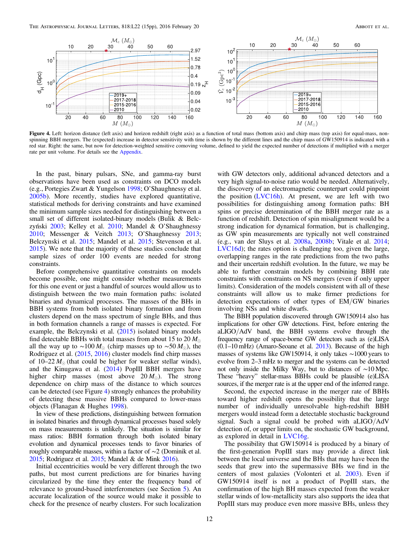<span id="page-14-0"></span>

Figure 4. Left: horizon distance (left axis) and horizon redshift (right axis) as a function of total mass (bottom axis) and chirp mass (top axis) for equal-mass, nonspinning BBH mergers. The (expected) increase in detector sensitivity with time is shown by the different lines and the chirp mass of GW150914 is indicated with a red star. Right: the same, but now for detection-weighted sensitive comoving volume, defined to yield the expected number of detections if multiplied with a merger rate per unit volume. For details see the [Appendix](#page-15-1).

In the past, binary pulsars, SNe, and gamma-ray burst observations have been used as constraints on DCO models (e.g., Portegies Zwart & Yungelson [1998](#page-17-42); O'Shaughnessy et al. [2005b](#page-17-43)). More recently, studies have explored quantitative, statistical methods for deriving constraints and have examined the minimum sample sizes needed for distinguishing between a small set of different isolated-binary models (Bulik & Belczyński [2003](#page-16-89); Kelley et al. [2010](#page-16-91); Mandel & O'Shaughnessy [2010;](#page-16-90) Messenger & Veitch [2013;](#page-16-92) O'Shaughnessy [2013](#page-17-41); Belczynski et al. [2015;](#page-16-47) Mandel et al. [2015;](#page-16-93) Stevenson et al. [2015](#page-17-44)). We note that the majority of these studies conclude that sample sizes of order 100 events are needed for strong constraints.

Before comprehensive quantitative constraints on models become possible, one might consider whether measurements for this one event or just a handful of sources would allow us to distinguish between the two main formation paths: isolated binaries and dynamical processes. The masses of the BHs in BBH systems from both isolated binary formation and from clusters depend on the mass spectrum of single BHs, and thus in both formation channels a range of masses is expected. For example, the Belczynski et al. ([2015](#page-16-47)) isolated binary models find detectable BBHs with total masses from about 15 to 20  $M_{\odot}$ all the way up to ~100  $M_{\odot}$  (chirp masses up to ~50  $M_{\odot}$ ), the Rodriguez et al. ([2015,](#page-17-20) [2016](#page-17-32)) cluster models find chirp masses of  $10-22 M_{\odot}$  (that could be higher for weaker stellar winds), and the Kinugawa et al. ([2014](#page-16-54)) PopIII BBH mergers have higher chirp masses (most above  $20 M_{\odot}$ ). The strong dependence on chirp mass of the distance to which sources can be detected (see Figure [4](#page-14-0)) strongly enhances the probability of detecting these massive BBHs compared to lower-mass objects (Flanagan & Hughes [1998](#page-16-94)).

In view of these predictions, distinguishing between formation in isolated binaries and through dynamical processes based solely on mass measurements is unlikely. The situation is similar for mass ratios: BBH formation through both isolated binary evolution and dynamical processes tends to favor binaries of roughly comparable masses, within a factor of ∼2 (Dominik et al. [2015](#page-16-51); Rodriguez et al. [2015;](#page-17-20) Mandel & de Mink [2016](#page-16-35)).

Initial eccentricities would be very different through the two paths, but most current predictions are for binaries having circularized by the time they enter the frequency band of relevance to ground-based interferometers (see Section [5](#page-12-0)). An accurate localization of the source would make it possible to check for the presence of nearby clusters. For such localization

with GW detectors only, additional advanced detectors and a very high signal-to-noise ratio would be needed. Alternatively, the discovery of an electromagnetic counterpart could pinpoint the position ([LVC16h](#page-16-13)). At present, we are left with two possibilities for distinguishing among formation paths: BH spins or precise determination of the BBH merger rate as a function of redshift. Detection of spin misalignment would be a strong indication for dynamical formation, but is challenging, as GW spin measurements are typically not well constrained (e.g., van der Sluys et al. [2008a,](#page-17-45) [2008b;](#page-17-46) Vitale et al. [2014](#page-17-47); [LVC16d](#page-16-10)); the rates option is challenging too, given the large, overlapping ranges in the rate predictions from the two paths and their uncertain redshift evolution. In the future, we may be able to further constrain models by combining BBH rate constraints with constraints on NS mergers (even if only upper limits). Consideration of the models consistent with all of these constraints will allow us to make firmer predictions for detection expectations of other types of EM/GW binaries involving NSs and white dwarfs.

The BBH population discovered through GW150914 also has implications for other GW detections. First, before entering the aLIGO/AdV band, the BBH systems evolve through the frequency range of space-borne GW detectors such as (e)LISA (0.1–10 mHz) (Amaro-Seoane et al. [2013](#page-16-95)). Because of the high masses of systems like GW150914, it only takes ∼1000 years to evolve from 2–3 mHz to merger and the systems can be detected not only inside the Milky Way, but to distances of ∼10 Mpc. These "heavy" stellar-mass BBHs could be plausible (e)LISA sources, if the merger rate is at the upper end of the inferred range.

Second, the expected increase in the merger rate of BBHs toward higher redshift opens the possibility that the large number of individually unresolvable high-redshift BBH mergers would instead form a detectable stochastic background signal. Such a signal could be probed with aLIGO/AdV detection of, or upper limits on, the stochastic GW background, as explored in detail in [LVC16g](#page-16-96).

The possibility that GW150914 is produced by a binary of the first-generation PopIII stars may provide a direct link between the local universe and the BHs that may have been the seeds that grew into the supermassive BHs we find in the centers of most galaxies (Volonteri et al. [2003](#page-17-48)). Even if GW150914 itself is not a product of PopIII stars, the confirmation of the high BH masses expected from the weaker stellar winds of low-metallicity stars also supports the idea that PopIII stars may produce even more massive BHs, unless they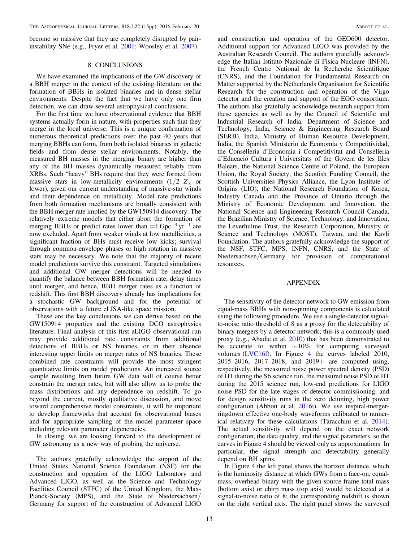become so massive that they are completely disrupted by pairinstability SNe (e.g., Fryer et al. [2001](#page-16-97); Woosley et al. [2007](#page-17-49)).

#### 8. CONCLUSIONS

<span id="page-15-0"></span>We have examined the implications of the GW discovery of a BBH merger in the context of the existing literature on the formation of BBHs in isolated binaries and in dense stellar environments. Despite the fact that we have only one firm detection, we can draw several astrophysical conclusions.

For the first time we have observational evidence that BBH systems actually form in nature, with properties such that they merge in the local universe. This is a unique confirmation of numerous theoretical predictions over the past 40 years that merging BBHs can form, from both isolated binaries in galactic fields and from dense stellar environments. Notably, the measured BH masses in the merging binary are higher than any of the BH masses dynamically measured reliably from XRBs. Such "heavy" BHs require that they were formed from massive stars in low-metallicity environments  $(1/2, Z_{\odot})$  or lower), given our current understanding of massive-star winds and their dependence on metallicity. Model rate predictions from both formation mechanisms are broadly consistent with the BBH merger rate implied by the GW150914 discovery. The relatively extreme models that either abort the formation of merging BBHs or predict rates lower than  $\simeq$ 1 Gpc<sup>-3</sup> yr<sup>-1</sup> are now excluded. Apart from weaker winds at low metallicities, a significant fraction of BHs must receive low kicks; survival through common-envelope phases or high rotation in massive stars may be necessary. We note that the majority of recent model predictions survive this constraint. Targeted simulations and additional GW merger detections will be needed to quantify the balance between BBH formation rate, delay times until merger, and hence, BBH merger rates as a function of redshift. This first BBH discovery already has implications for a stochastic GW background and for the potential of observations with a future eLISA-like space mission.

These are the key conclusions we can derive based on the GW150914 properties and the existing DCO astrophysics literature. Final analysis of this first aLIGO observational run may provide additional rate constraints from additional detections of BBHs or NS binaries, or in their absence interesting upper limits on merger rates of NS binaries. These combined rate constraints will provide the most stringent quantitative limits on model predictions. An increased source sample resulting from future GW data will of course better constrain the merger rates, but will also allow us to probe the mass distributions and any dependence on redshift. To go beyond the current, mostly qualitative discussion, and move toward comprehensive model constraints, it will be important to develop frameworks that account for observational biases and for appropriate sampling of the model parameter space including relevant parameter degeneracies.

In closing, we are looking forward to the development of GW astronomy as a new way of probing the universe.

The authors gratefully acknowledge the support of the United States National Science Foundation (NSF) for the construction and operation of the LIGO Laboratory and Advanced LIGO, as well as the Science and Technology Facilities Council (STFC) of the United Kingdom, the Max-Planck-Society (MPS), and the State of Niedersachsen/ Germany for support of the construction of Advanced LIGO

and construction and operation of the GEO600 detector. Additional support for Advanced LIGO was provided by the Australian Research Council. The authors gratefully acknowledge the Italian Istituto Nazionale di Fisica Nucleare (INFN), the French Centre National de la Recherche Scientifique (CNRS), and the Foundation for Fundamental Research on Matter supported by the Netherlands Organisation for Scientific Research for the construction and operation of the Virgo detector and the creation and support of the EGO consortium. The authors also gratefully acknowledge research support from these agencies as well as by the Council of Scientific and Industrial Research of India, Department of Science and Technology, India, Science & Engineering Research Board (SERB), India, Ministry of Human Resource Development, India, the Spanish Ministerio de Economía y Competitividad, the Conselleria d'Economia i Competitivitat and Conselleria d'Educació Cultura i Universitats of the Govern de les Illes Balears, the National Science Centre of Poland, the European Union, the Royal Society, the Scottish Funding Council, the Scottish Universities Physics Alliance, the Lyon Institute of Origins (LIO), the National Research Foundation of Korea, Industry Canada and the Province of Ontario through the Ministry of Economic Development and Innovation, the National Science and Engineering Research Council Canada, the Brazilian Ministry of Science, Technology, and Innovation, the Leverhulme Trust, the Research Corporation, Ministry of Science and Technology (MOST), Taiwan, and the Kavli Foundation. The authors gratefully acknowledge the support of the NSF, STFC, MPS, INFN, CNRS, and the State of Niedersachsen/Germany for provision of computational resources.

## APPENDIX

<span id="page-15-1"></span>The sensitivity of the detector network to GW emission from equal-mass BBHs with non-spinning components is calculated using the following procedure. We use a single-detector signalto-noise ratio threshold of 8 as a proxy for the detectability of binary mergers by a detector network; this is a commonly used proxy (e.g., Abadie et al. [2010](#page-16-87)) that has been demonstrated to be accurate to within  $\sim 10\%$  for computing surveyed volumes ([LVC16f](#page-16-16)). In Figure [4](#page-14-0) the curves labeled 2010, 2015–2016, 2017–2018, and 2019+ are computed using, respectively, the measured noise power spectral density (PSD) of H1 during the S6 science run, the measured noise PSD of H1 during the 2015 science run, low-end predictions for LIGO noise PSD for the late stages of detector commissioning, and for design sensitivity runs in the zero detuning, high power configuration (Abbott et al. [2016i](#page-16-7)). We use inspiral-mergerringdown effective one-body waveforms calibrated to numerical relativity for these calculations (Taracchini et al. [2014](#page-17-9)). The actual sensitivity will depend on the exact network configuration, the data quality, and the signal parameters, so the curves in Figure [4](#page-14-0) should be viewed only as approximations. In particular, the signal strength and detectability generally depend on BH spins.

In Figure [4](#page-14-0) the left panel shows the horizon distance, which is the luminosity distance at which GWs from a face-on, equalmass, overhead binary with the given source-frame total mass (bottom axis) or chirp mass (top axis) would be detected at a signal-to-noise ratio of 8; the corresponding redshift is shown on the right vertical axis. The right panel shows the surveyed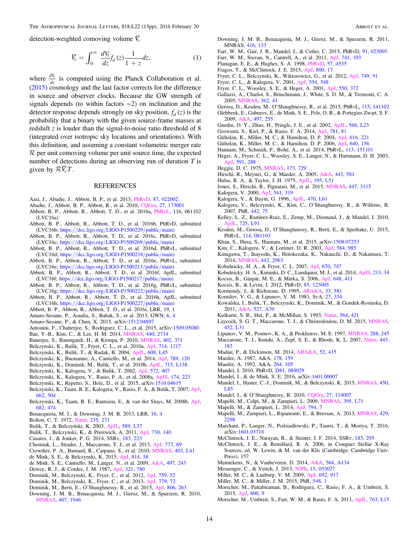detection-weighted comoving volume  $\overline{V_c}$ 

$$
\overline{V_c} = \int_0^\infty \frac{dV_c}{dz} f_d(z) \frac{1}{1+z} dz,\tag{1}
$$

where  $\frac{dV_c}{dz}$  is computed using the Planck Collaboration et al. ([2015](#page-17-33)) cosmology and the last factor corrects for the difference in source and observer clocks. Because the GW strength of signals depends (to within factors ∼2) on inclination and the detector response depends strongly on sky position,  $f_d(z)$  is the probability that a binary with the given source-frame masses at redshift z is louder than the signal-to-noise ratio threshold of 8 (integrated over isotropic sky locations and orientations). With this definition, and assuming a constant volumetric merger rate  $\mathcal R$  per unit comoving volume per unit source time, the expected number of detections during an observing run of duration  $T$  is given by  $\mathcal{R}\overline{V_c}T$ .

#### **REFERENCES**

- <span id="page-16-83"></span>Aasi, J., Abadie, J., Abbott, B. P., et al. 2013, [PhRvD](http://dx.doi.org/10.1103/PhysRevD.87.022002), [87, 022002](http://adsabs.harvard.edu/abs/2013PhRvD..87b2002A)
- <span id="page-16-87"></span>Abadie, J., Abbott, B. P., Abbott, R., et al. 2010, [CQGra](http://dx.doi.org/10.1088/0264-9381/27/17/173001), [27, 173001](http://adsabs.harvard.edu/abs/2010CQGra..27q3001A)
- <span id="page-16-3"></span>Abbott, B. P., Abbott, R., Abbott, T. D., et al. 2016a, [PhRvL,](http://dx.doi.org/10.1103/PhysRevLett.116.061102) 116, 061102 (LVC16a)
- <span id="page-16-8"></span>Abbott, B. P., Abbott, R., Abbott, T. D., et al. 2016b, PhRvD, submitted (LVC16b; https://dcc.ligo.org/[LIGO-P1500229](https://dcc.ligo.org/LIGO-P1500229/public/main)/public/main)
- <span id="page-16-9"></span>Abbott, B. P., Abbott, R., Abbott, T. D., et al. 2016c, PhRvD, submitted (LVC16c; https://dcc.ligo.org/[LIGO-P1500269](https://dcc.ligo.org/LIGO-P1500269/public/main)/public/main)
- <span id="page-16-10"></span>Abbott, B. P., Abbott, R., Abbott, T. D., et al. 2016d, PhRvL, submitted (LVC16d; https://dcc.ligo.org/[LIGO-P1500218](https://dcc.ligo.org/LIGO-P1500218/public/main)/public/main)
- <span id="page-16-14"></span>Abbott, B. P., Abbott, R., Abbott, T. D., et al. 2016e, PhRvL, submitted (LVC16e; https://dcc.ligo.org/[LIGO-P1500213](https://dcc.ligo.org/LIGO-P1500213/public/main)/public/main)
- <span id="page-16-16"></span>Abbott, B. P., Abbott, R., Abbott, T. D., et al. 2016f, ApJL, submitted (LVC16f; https://dcc.ligo.org/[LIGO-P1500217](https://dcc.ligo.org/LIGO-P1500217/public/main)/public/main)
- <span id="page-16-96"></span>Abbott, B. P., Abbott, R., Abbott, T. D., et al. 2016g, PhRvL, submitted (LVC16g; https://dcc.ligo.org/[LIGO-P1500222](https://dcc.ligo.org/LIGO-P1500222/public/main)/public/main)
- <span id="page-16-13"></span>Abbott, B. P., Abbott, R., Abbott, T. D., et al. 2016h, ApJL, submitted (LVC16h; https://dcc.ligo.org/[LIGO-P1500227](https://dcc.ligo.org/LIGO-P1500227/public/main)/public/main)
- <span id="page-16-7"></span>Abbott, B. P., Abbott, R., Abbott, T. D., et al. 2016i, LRR, 19, 1
- <span id="page-16-95"></span>Amaro-Seoane, P., Aoudia, S., Babak, S., et al. 2013, GWN, [6, 4](http://adsabs.harvard.edu/abs/2013GWN.....6....4A)
- <span id="page-16-78"></span>Amaro-Seoane, P., & Chen, X. 2015, arXiv[:1512.04897](http://arxiv.org/abs/1512.04897)
- <span id="page-16-73"></span>Antonini, F., Chatterjee, S., Rodriguez, C. L., et al. 2015, arXiv[:1509.05080](http://arxiv.org/abs/1509.05080)
- <span id="page-16-61"></span>Bae, Y.-B., Kim, C., & Lee, H. M. 2014, [MNRAS,](http://dx.doi.org/10.1093/mnras/stu381) [440, 2714](http://adsabs.harvard.edu/abs/2014MNRAS.440.2714B)
- <span id="page-16-60"></span>Banerjee, S., Baumgardt, H., & Kroupa, P. 2010, [MNRAS,](http://dx.doi.org/10.1111/j.1365-2966.2009.15880.x) [402, 371](http://adsabs.harvard.edu/abs/2010MNRAS.402..371B)
- <span id="page-16-53"></span><span id="page-16-32"></span>Belczynski, K., Bulik, T., Fryer, C. L., et al. 2010a, [ApJ](http://dx.doi.org/10.1088/0004-637X/714/2/1217), [714, 1217](http://adsabs.harvard.edu/abs/2010ApJ...714.1217B) Belczynski, K., Bulik, T., & Rudak, B. 2004, [ApJL](http://dx.doi.org/10.1086/422172), [608, L45](http://adsabs.harvard.edu/abs/2004ApJ...608L..45B)
- <span id="page-16-52"></span>Belczynski, K., Buonanno, A., Cantiello, M., et al. 2014, [ApJ](http://dx.doi.org/10.1088/0004-637X/789/2/120), [789, 120](http://adsabs.harvard.edu/abs/2014ApJ...789..120B)
- <span id="page-16-49"></span>Belczynski, K., Dominik, M., Bulik, T., et al. 2010b, [ApJL](http://dx.doi.org/10.1088/2041-8205/715/2/L138), [715, L138](http://adsabs.harvard.edu/abs/2010ApJ...715L.138B)
- <span id="page-16-72"></span>
- Belczynski, K., Kalogera, V., & Bulik, T. 2002, [ApJ,](http://dx.doi.org/10.1086/340304) [572, 407](http://adsabs.harvard.edu/abs/2002ApJ...572..407B)
- <span id="page-16-46"></span>Belczynski, K., Kalogera, V., Rasio, F. A., et al. 2008a, [ApJS,](http://dx.doi.org/10.1086/521026) [174, 223](http://adsabs.harvard.edu/abs/2008ApJS..174..223B)
- <span id="page-16-47"></span>Belczynski, K., Repetto, S., Holz, D., et al. 2015, arXiv:[1510.04615](http://arxiv.org/abs/1510.04615)
- <span id="page-16-86"></span>Belczynski, K., Taam, R. E., Kalogera, V., Rasio, F. A., & Bulik, T. 2007, [ApJ](http://dx.doi.org/10.1086/513562)[,](http://adsabs.harvard.edu/abs/2007ApJ...662..504B) [662, 504](http://adsabs.harvard.edu/abs/2007ApJ...662..504B)
- <span id="page-16-77"></span>Belczynski, K., Taam, R. E., Rantsiou, E., & van der Sluys, M. 2008b, [ApJ](http://dx.doi.org/10.1086/589609)[,](http://adsabs.harvard.edu/abs/2008ApJ...682..474B) [682, 474](http://adsabs.harvard.edu/abs/2008ApJ...682..474B)
- <span id="page-16-6"></span>Benacquista, M. J., & Downing, J. M. B. 2013, LRR, [16, 4](http://adsabs.harvard.edu/abs/2013LRR....16....4B)
- <span id="page-16-0"></span>Bolton, C. T. 1972, [Natur](http://dx.doi.org/10.1038/235271b0), [235, 271](http://adsabs.harvard.edu/abs/1972Natur.235..271B)
- <span id="page-16-89"></span>Bulik, T., & Belczyński, K. 2003, [ApJL,](http://dx.doi.org/10.1086/375713) [589, L37](http://adsabs.harvard.edu/abs/2003ApJ...589L..37B)
- <span id="page-16-22"></span>Bulik, T., Belczynski, K., & Prestwich, A. 2011, [ApJ](http://dx.doi.org/10.1088/0004-637X/730/2/140), [730, 140](http://adsabs.harvard.edu/abs/2011ApJ...730..140B)
- <span id="page-16-19"></span>Casares, J., & Jonker, P. G. 2014, SSRv, [183, 223](http://adsabs.harvard.edu/abs/2014SSRv..183..223C)
- <span id="page-16-25"></span>Chomiuk, L., Strader, J., Maccarone, T. J., et al. 2013, [ApJ](http://dx.doi.org/10.1088/0004-637X/777/1/69), [777, 69](http://adsabs.harvard.edu/abs/2013ApJ...777...69C)
- <span id="page-16-21"></span>Crowther, P. A., Barnard, R., Carpano, S., et al. 2010, [MNRAS,](http://dx.doi.org/10.1111/j.1745-3933.2010.00811.x) [403, L41](http://adsabs.harvard.edu/abs/2010MNRAS.403L..41C)
- <span id="page-16-48"></span>de Mink, S. E., & Belczynski, K. 2015, [ApJ,](http://dx.doi.org/10.1088/0004-637X/814/1/58) [814, 58](http://adsabs.harvard.edu/abs/2015ApJ...814...58D)
- <span id="page-16-29"></span>de Mink, S. E., Cantiello, M., Langer, N., et al. 2009, [A&A,](http://dx.doi.org/10.1051/0004-6361/200811439) [497, 243](http://adsabs.harvard.edu/abs/2009A&A...497..243D)
- <span id="page-16-43"></span>Dewey, R. J., & Cordes, J. M. 1987, [ApJ](http://dx.doi.org/10.1086/165671), [321, 780](http://adsabs.harvard.edu/abs/1987ApJ...321..780D)
- <span id="page-16-45"></span>Dominik, M., Belczynski, K., Fryer, C., et al. 2012, [ApJ](http://dx.doi.org/10.1088/0004-637X/759/1/52), [759, 52](http://adsabs.harvard.edu/abs/2012ApJ...759...52D)
- <span id="page-16-50"></span>Dominik, M., Belczynski, K., Fryer, C., et al. 2013, [ApJ](http://dx.doi.org/10.1088/0004-637X/779/1/72), [779, 72](http://adsabs.harvard.edu/abs/2013ApJ...779...72D)
- <span id="page-16-51"></span>Dominik, M., Berti, E., O'Shaughnessy, R., et al. 2015, [ApJ,](http://dx.doi.org/10.1088/0004-637X/806/2/263) [806, 263](http://adsabs.harvard.edu/abs/2015ApJ...806..263D)
- <span id="page-16-64"></span>Downing, J. M. B., Benacquista, M. J., Giersz, M., & Spurzem, R. 2010, [MNRAS](http://dx.doi.org/10.1111/j.1365-2966.2010.17040.x), [407, 1946](http://adsabs.harvard.edu/abs/2010MNRAS.407.1946D)
- <span id="page-16-65"></span>Downing, J. M. B., Benacquista, M. J., Giersz, M., & Spurzem, R. 2011, MNRAS, [416, 133](http://adsabs.harvard.edu/abs/2011MNRAS.416..133D)
- <span id="page-16-17"></span>Farr, W. M., Gair, J. R., Mandel, I., & Cutler, C. 2015, PhRvD, [91, 023005](http://adsabs.harvard.edu/abs/2015PhRvD..91b3005F)
- <span id="page-16-31"></span>Farr, W. M., Sravan, N., Cantrell, A., et al. 2011, [ApJ,](http://dx.doi.org/10.1088/0004-637X/741/2/103) [741, 103](http://adsabs.harvard.edu/abs/2011ApJ...741..103F)
- <span id="page-16-94"></span>Flanagan, E. E., & Hughes, S. A. 1998, [PhRvD,](http://dx.doi.org/10.1103/PhysRevD.57.4535) [57, 4535](http://adsabs.harvard.edu/abs/1998PhRvD..57.4535F)
- <span id="page-16-79"></span>Fragos, T., & McClintock, J. E. 2015, [ApJ](http://dx.doi.org/10.1088/0004-637X/800/1/17), [800, 17](http://adsabs.harvard.edu/abs/2015ApJ...800...17F)
- <span id="page-16-27"></span>Fryer, C. L., Belczynski, K., Wiktorowicz, G., et al. 2012, [ApJ](http://dx.doi.org/10.1088/0004-637X/749/1/91), [749, 91](http://adsabs.harvard.edu/abs/2012ApJ...749...91F)
- <span id="page-16-26"></span>Fryer, C. L., & Kalogera, V. 2001, [ApJ](http://dx.doi.org/10.1086/321359), [554, 548](http://adsabs.harvard.edu/abs/2001ApJ...554..548F)
- <span id="page-16-97"></span>Fryer, C. L., Woosley, S. E., & Heger, A. 2001, [ApJ,](http://dx.doi.org/10.1086/319719) [550, 372](http://adsabs.harvard.edu/abs/2001ApJ...550..372F)
- <span id="page-16-69"></span>Gallazzi, A., Charlot, S., Brinchmann, J., White, S. D. M., & Tremonti, C. A. 2005, [MNRAS,](http://dx.doi.org/10.1111/j.1365-2966.2005.09321.x) [362, 41](http://adsabs.harvard.edu/abs/2005MNRAS.362...41G)
- <span id="page-16-81"></span>Gerosa, D., Kesden, M., O'Shaughnessy, R., et al. 2015, PhRvL, [115, 141102](http://adsabs.harvard.edu/abs/2015PhRvL.115n1102G)
- <span id="page-16-39"></span>Glebbeek, E., Gaburov, E., de Mink, S. E., Pols, O. R., & Portegies Zwart, S. F. [497, 255](http://adsabs.harvard.edu/abs/2009A&A...497..255G)
- <span id="page-16-85"></span>Gnedin, O. Y., Zhao, H., Pringle, J. E., et al. 2002, [ApJL](http://dx.doi.org/10.1086/340319), [568, L23](http://adsabs.harvard.edu/abs/2002ApJ...568L..23G)
- <span id="page-16-68"></span>Goswami, S., Kiel, P., & Rasio, F. A. 2014, [ApJ](http://dx.doi.org/10.1088/0004-637X/781/2/81), [781, 81](http://adsabs.harvard.edu/abs/2014ApJ...781...81G)
- <span id="page-16-57"></span>Gültekin, K., Miller, M. C., & Hamilton, D. P. 2004, [ApJ,](http://dx.doi.org/10.1086/424809) [616, 221](http://adsabs.harvard.edu/abs/2004ApJ...616..221G)
- <span id="page-16-58"></span>Gültekin, K., Miller, M. C., & Hamilton, D. P. 2006, [ApJ,](http://dx.doi.org/10.1086/499917) [640, 156](http://adsabs.harvard.edu/abs/2006ApJ...640..156G)
- <span id="page-16-11"></span>Hannam, M., Schmidt, P., Bohé, A., et al. 2014, PhRvL, [113, 151101](http://adsabs.harvard.edu/abs/2014PhRvL.113o1101H)
- <span id="page-16-2"></span>Heger, A., Fryer, C. L., Woosley, S. E., Langer, N., & Hartmann, D. H. 2003, [ApJ,](http://dx.doi.org/10.1086/375341) [591, 288](http://adsabs.harvard.edu/abs/2003ApJ...591..288H)
- <span id="page-16-56"></span>Heggie, D. C. 1975, [MNRAS,](http://dx.doi.org/10.1093/mnras/173.3.729) [173, 729](http://adsabs.harvard.edu/abs/1975MNRAS.173..729H)
- <span id="page-16-76"></span>Hirschi, R., Meynet, G., & Maeder, A. 2005, [A&A,](http://dx.doi.org/10.1051/0004-6361:20053329) [443, 581](http://adsabs.harvard.edu/abs/2005A&A...443..581H)
- <span id="page-16-4"></span>Hulse, R. A., & Taylor, J. H. 1975, [ApJL](http://dx.doi.org/10.1086/181708), [195, L51](http://adsabs.harvard.edu/abs/1975ApJ...195L..51H)
- <span id="page-16-37"></span>Jones, S., Hirschi, R., Pignatari, M., et al. 2015, [MNRAS](http://dx.doi.org/10.1093/mnras/stu2657), [447, 3115](http://adsabs.harvard.edu/abs/2015MNRAS.447.3115J)
- <span id="page-16-80"></span>Kalogera, V. 2000, [ApJ](http://dx.doi.org/10.1086/309400), [541, 319](http://adsabs.harvard.edu/abs/2000ApJ...541..319K)
- <span id="page-16-20"></span>Kalogera, V., & Baym, G. 1996, [ApJL,](http://dx.doi.org/10.1086/310296) [470, L61](http://adsabs.harvard.edu/abs/1996ApJ...470L..61K)
- <span id="page-16-44"></span>Kalogera, V., Belczynski, K., Kim, C., O'Shaughnessy, R., & Willems, B. 2007, PhR, [442, 75](http://adsabs.harvard.edu/abs/2007PhR...442...75K)
- <span id="page-16-91"></span>Kelley, L. Z., Ramirez-Ruiz, E., Zemp, M., Diemand, J., & Mandel, I. 2010, [ApJL](http://dx.doi.org/10.1088/2041-8205/725/1/L91), [725, L91](http://adsabs.harvard.edu/abs/2010ApJ...725L..91K)
- <span id="page-16-82"></span>Kesden, M., Gerosa, D., O'Shaughnessy, R., Berti, E., & Sperhake, U. 2015, PhRvL, [114, 081103](http://adsabs.harvard.edu/abs/2015PhRvL.114h1103K)
- <span id="page-16-15"></span><span id="page-16-12"></span>Khan, S., Husa, S., Hannam, M., et al. 2015, arXiv[:1508.07253](http://arxiv.org/abs/1508.07253)
- Kim, C., Kalogera, V., & Lorimer, D. R. 2003, [ApJ](http://dx.doi.org/10.1086/345740), [584, 985](http://adsabs.harvard.edu/abs/2003ApJ...584..985K)
- <span id="page-16-54"></span>Kinugawa, T., Inayoshi, K., Hotokezaka, K., Nakauchi, D., & Nakamura, T. 2014, [MNRAS,](http://dx.doi.org/10.1093/mnras/stu1022) [442, 2963](http://adsabs.harvard.edu/abs/2014MNRAS.442.2963K)
- <span id="page-16-40"></span>Kobulnicky, H. A., & Fryer, C. L. 2007, [ApJ](http://dx.doi.org/10.1086/522073), [670, 747](http://adsabs.harvard.edu/abs/2007ApJ...670..747K)
- <span id="page-16-41"></span>Kobulnicky, H. A., Kiminki, D. C., Lundquist, M. J., et al. 2014, [ApJS](http://dx.doi.org/10.1088/0067-0049/213/2/34), [213, 34](http://adsabs.harvard.edu/abs/2014ApJS..213...34K)
- <span id="page-16-59"></span>Kocsis, B., Gáspár, M. E., & Márka, S. 2006, [ApJ,](http://dx.doi.org/10.1086/505641) [648, 411](http://adsabs.harvard.edu/abs/2006ApJ...648..411K)
- <span id="page-16-63"></span>Kocsis, B., & Levin, J. 2012, PhRvD, [85, 123005](http://adsabs.harvard.edu/abs/2012PhRvD..85l3005K)
- <span id="page-16-1"></span>Kormendy, J., & Richstone, D. 1995, [ARA&A,](http://dx.doi.org/10.1146/annurev.aa.33.090195.003053) [33, 581](http://adsabs.harvard.edu/abs/1995ARA&A..33..581K)
- <span id="page-16-42"></span>Kornilov, V. G., & Lipunov, V. M. 1983, SvA, [27, 334](http://adsabs.harvard.edu/abs/1983SvA....27..334K)
- <span id="page-16-71"></span>Kowalska, I., Bulik, T., Belczynski, K., Dominik, M., & Gondek-Rosinska, D. 2011, [A&A](http://dx.doi.org/10.1051/0004-6361/201015777), [527, A70](http://adsabs.harvard.edu/abs/2011A&A...527A..70K)
- <span id="page-16-55"></span>Kulkarni, S. R., Hut, P., & McMillan, S. 1993, [Natur,](http://dx.doi.org/10.1038/364421a0) [364, 421](http://adsabs.harvard.edu/abs/1993Natur.364..421K)
- <span id="page-16-23"></span>Laycock, S. G. T., Maccarone, T. J., & Christodoulou, D. M. 2015, [MNRAS](http://dx.doi.org/10.1093/mnrasl/slv082)[,](http://adsabs.harvard.edu/abs/2015MNRAS.452L..31L) [452, L31](http://adsabs.harvard.edu/abs/2015MNRAS.452L..31L)
- <span id="page-16-5"></span>Lipunov, V. M., Postnov, K. A., & Prokhorov, M. E. 1997, [MNRAS,](http://dx.doi.org/10.1093/mnras/288.1.245) [288, 245](http://adsabs.harvard.edu/abs/1997MNRAS.288..245L)
- <span id="page-16-24"></span>Maccarone, T. J., Kundu, A., Zepf, S. E., & Rhode, K. L. 2007, [Natur](http://dx.doi.org/10.1038/nature05434), [445,](http://adsabs.harvard.edu/abs/2007Natur.445..183M) [183](http://adsabs.harvard.edu/abs/2007Natur.445..183M)
- <span id="page-16-70"></span>Madau, P., & Dickinson, M. 2014, [ARA&A,](http://dx.doi.org/10.1146/annurev-astro-081811-125615) [52, 415](http://adsabs.harvard.edu/abs/2014ARA&A..52..415M)
- <span id="page-16-34"></span>Maeder, A. 1987, A&A, [178, 159](http://adsabs.harvard.edu/abs/1987A&A...178..159M)
- <span id="page-16-28"></span>Maeder, A. 1992, A&A, [264, 105](http://adsabs.harvard.edu/abs/1992A&A...264..105M)
- <span id="page-16-88"></span>Mandel, I. 2010, PhRvD, [D81, 084029](http://adsabs.harvard.edu/abs/2010PhRvD..81h4029M)
- <span id="page-16-35"></span>Mandel, I., & de Mink, S. E. 2016, arXiv:[1601.00007](http://arxiv.org/abs/1601.00007)
- <span id="page-16-93"></span>Mandel, I., Haster, C.-J., Dominik, M., & Belczynski, K. 2015, [MNRAS,](http://dx.doi.org/10.1093/mnrasl/slv054) [450,](http://adsabs.harvard.edu/abs/2015MNRAS.450L..85M) [L85](http://adsabs.harvard.edu/abs/2015MNRAS.450L..85M)
- <span id="page-16-90"></span>Mandel, I., & O'Shaughnessy, R. 2010, [CQGra](http://dx.doi.org/10.1088/0264-9381/27/11/114007), [27, 114007](http://adsabs.harvard.edu/abs/2010CQGra..27k4007M)
- <span id="page-16-30"></span>Mapelli, M., Colpi, M., & Zampieri, L. 2009, [MNRAS](http://dx.doi.org/10.1111/j.1745-3933.2009.00645.x), [395, L71](http://adsabs.harvard.edu/abs/2009MNRAS.395L..71M)
- <span id="page-16-38"></span>Mapelli, M., & Zampieri, L. 2014, [ApJ,](http://dx.doi.org/10.1088/0004-637X/794/1/7) [794, 7](http://adsabs.harvard.edu/abs/2014ApJ...794....7M)
- <span id="page-16-33"></span>Mapelli, M., Zampieri, L., Ripamonti, E., & Bressan, A. 2013, [MNRAS,](http://dx.doi.org/10.1093/mnras/sts500) [429,](http://adsabs.harvard.edu/abs/2013MNRAS.429.2298M) [2298](http://adsabs.harvard.edu/abs/2013MNRAS.429.2298M)
- <span id="page-16-36"></span>Marchant, P., Langer, N., Podsiadlowski, P., Tauris, T., & Moriya, T. 2016, arXiv:[1601.03718](http://arxiv.org/abs/1601.03718)
- <span id="page-16-74"></span>McClintock, J. E., Narayan, R., & Steiner, J. F. 2014, SSRv, [183, 295](http://adsabs.harvard.edu/abs/2014SSRv..183..295M)
- <span id="page-16-18"></span>McClintock, J. E., & Remillard, R. A. 2006, in Compact Stellar X-Ray Sources, ed. W. Lewin, & M. van der Klis (Cambridge: Cambridge Univ. Press), 157

<span id="page-16-67"></span>Morscher, M., Pattabiraman, B., Rodriguez, C., Rasio, F. A., & Umbreit, S.

<span id="page-16-66"></span>Morscher, M., Umbreit, S., Farr, W. M., & Rasio, F. A. 2013, [ApJL,](http://dx.doi.org/10.1088/2041-8205/763/1/L15) [763, L15](http://adsabs.harvard.edu/abs/2013ApJ...763L..15M)

- <span id="page-16-84"></span>Mennekens, N., & Vanbeveren, D. 2014, [A&A,](http://dx.doi.org/10.1051/0004-6361/201322198) [564, A134](http://adsabs.harvard.edu/abs/2014A&A...564A.134M)
- <span id="page-16-92"></span><span id="page-16-62"></span>Messenger, C., & Veitch, J. 2013, [NJPh,](http://dx.doi.org/10.1088/1367-2630/15/5/053027) [15, 053027](http://adsabs.harvard.edu/abs/2013NJPh...15e3027M) Miller, M. C., & Lauburg, V. M. 2009, [ApJ,](http://dx.doi.org/10.1088/0004-637X/692/1/917) [692, 917](http://adsabs.harvard.edu/abs/2009ApJ...692..917M)

<span id="page-16-75"></span>Miller, M. C., & Miller, J. M. 2015, PhR, [548, 1](http://adsabs.harvard.edu/abs/2015PhR...548....1M)

2015, [ApJ](http://dx.doi.org/10.1088/0004-637X/800/1/9), [800, 9](http://adsabs.harvard.edu/abs/2015ApJ...800....9M)

14